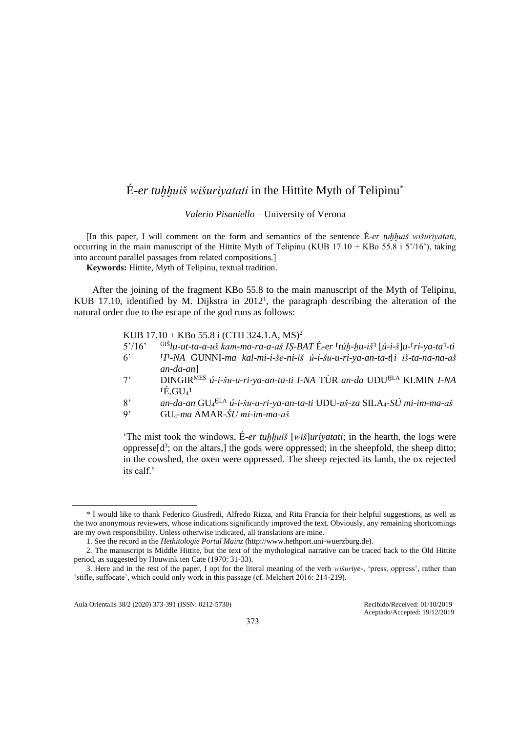# É*-er tuḫḫuiš wišuriyatati* in the Hittite Myth of Telipinu\*

*Valerio Pisaniello* – University of Verona

[In this paper, I will comment on the form and semantics of the sentence É*-er tuḫḫuiš wišuriyatati*, occurring in the main manuscript of the Hittite Myth of Telipinu (KUB 17.10 + KBo 55.8 i 5'/16'), taking into account parallel passages from related compositions.]

**Keywords:** Hittite, Myth of Telipinu, textual tradition.

After the joining of the fragment KBo 55.8 to the main manuscript of the Myth of Telipinu, KUB 17.10, identified by M. Dijkstra in  $2012<sup>1</sup>$ , the paragraph describing the alteration of the natural order due to the escape of the god runs as follows:

#### KUB  $17.10 +$ KBo 55.8 i (CTH 324.1.A, MS)<sup>2</sup>

- 5'/16' GIŠ*lu-ut-ta-a-uš kam-ma-ra-a-aš IṢ-BAT* É*-er* ⸢*túḫ-ḫu-iš*⸣ [*ú-i-š*]*u-*⸢*ri-ya-ta*⸣*-ti*
- 6' ⸢*I*⸣*-NA* GUNNI*-ma kal-mi-i-še-ni-iš ú-i-šu-u-ri-ya-an-ta-t*[*i iš-ta-na-na-aš an-da-an*]
- 7' DINGIRMEŠ *ú-i-šu-u-ri-ya-an-ta-ti I-NA* TÙR *an-da* UDUḪI.A KI.MIN *I-NA*  $\tilde{E}$ .GU<sub>4</sub>
- 8' *an-da-an* GU<sup>4</sup> ḪI.A *ú-i-šu-u-ri-ya-an-ta-ti* UDU*-uš-za* SILA4*-SÚ mi-im-ma-aš*
- 9' GU4*-ma* AMAR*-ŠU mi-im-ma-aš*

'The mist took the windows, É*-er tuḫḫuiš* [*wiš*]*uriyatati*; in the hearth, the logs were oppresse $[d^3]$ ; on the altars, the gods were oppressed; in the sheepfold, the sheep ditto; in the cowshed, the oxen were oppressed. The sheep rejected its lamb, the ox rejected its calf.'

Aula Orientalis 38/2 (2020) 373-391 (ISSN: 0212-5730) Recibido/Received: 01/10/2019

<sup>\*</sup> I would like to thank Federico Giusfredi, Alfredo Rizza, and Rita Francia for their helpful suggestions, as well as the two anonymous reviewers, whose indications significantly improved the text. Obviously, any remaining shortcomings are my own responsibility. Unless otherwise indicated, all translations are mine.

<sup>1.</sup> See the record in the *Hethitologie Portal Mainz* (http://www.hethport.uni-wuerzburg.de).

<sup>2.</sup> The manuscript is Middle Hittite, but the text of the mythological narrative can be traced back to the Old Hittite period, as suggested by Houwink ten Cate (1970: 31-33).

<sup>3.</sup> Here and in the rest of the paper, I opt for the literal meaning of the verb *wišuriye-*, 'press, oppress', rather than 'stifle, suffocate', which could only work in this passage (cf. Melchert 2016: 214-219).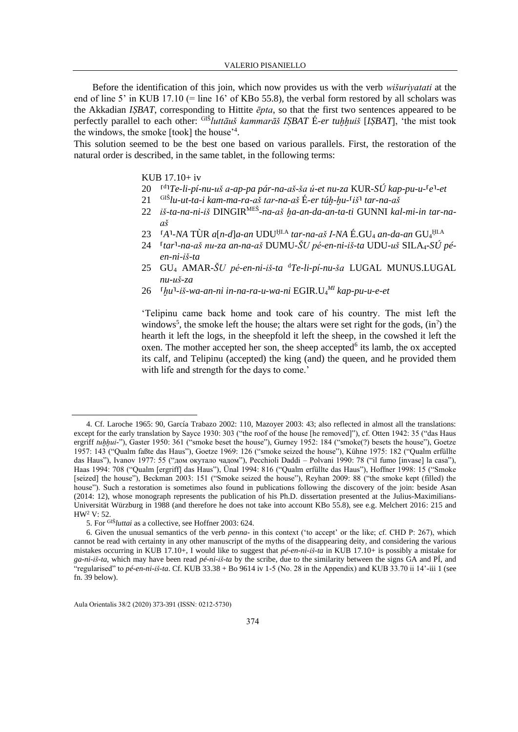Before the identification of this join, which now provides us with the verb *wišurivatati* at the end of line 5' in KUB 17.10 (= line 16' of KBo 55.8), the verbal form restored by all scholars was the Akkadian ISBAT, corresponding to Hittite  $\bar{e}pta$ , so that the first two sentences appeared to be perfectly parallel to each other: GIS *luttāuš kammarāš ISBAT* É-er tuhhuiš [ISBAT], 'the mist took the windows, the smoke [took] the house<sup>24</sup>.

This solution seemed to be the best one based on various parallels. First, the restoration of the natural order is described, in the same tablet, in the following terms:

#### KUB  $17.10+iv$

- 20 <sup>rd</sup>1Te-li-pí-nu-uš a-ap-pa pár-na-aš-ša ú-et nu-za KUR-SÚ kap-pu-u-<sup>r</sup>e<sup>1</sup>-et
- $\frac{1}{2}$ <sup>GIŠ</sup>lu-ut-ta-i kam-ma-ra-aš tar-na-aš É-er túh-hu- $\frac{1}{2}$ iš<sup>1</sup> tar-na-aš 21
- 22 iš-ta-na-ni-iš DINGIR<sup>MEŠ</sup>-na-aš ha-an-da-an-ta-ti GUNNI kal-mi-in tar-na $a\check{s}$
- $A^1$ -NA TÙR a[n-d]a-an UDU<sup>HLA</sup> tar-na-aš I-NA É.GU<sub>4</sub> an-da-an GU<sub>4</sub>HLA 23
- 24 <sup>r</sup>tar<sup>1</sup>-na-aš nu-za an-na-aš DUMU-ŠU pé-en-ni-iš-ta UDU-uš SILA<sub>4</sub>-SÚ pé $en-ni-i\check{s}$ -ta
- 25 GU<sub>4</sub> AMAR-ŠU pé-en-ni-iš-ta <sup>d</sup>Te-li-pí-nu-ša LUGAL MUNUS.LUGAL  $nu$ - $u\check{s}$ -za
- 26 <sup>r</sup>hu<sup>1</sup>-iš-wa-an-ni in-na-ra-u-wa-ni EGIR.U<sub>4</sub><sup>MI</sup> kap-pu-u-e-et

'Telipinu came back home and took care of his country. The mist left the windows<sup>5</sup>, the smoke left the house; the altars were set right for the gods,  $(in<sup>2</sup>)$  the hearth it left the logs, in the sheepfold it left the sheep, in the cowshed it left the oxen. The mother accepted her son, the sheep accepted<sup>6</sup> its lamb, the ox accepted its calf, and Telipinu (accepted) the king (and) the queen, and he provided them with life and strength for the days to come.'

<sup>4.</sup> Cf. Laroche 1965: 90, García Trabazo 2002: 110, Mazover 2003: 43; also reflected in almost all the translations: except for the early translation by Sayce 1930: 303 ("the roof of the house [he removed]"), cf. Otten 1942: 35 ("das Haus ergriff tuhhui-"), Gaster 1950: 361 ("smoke beset the house"), Gurney 1952: 184 ("smoke(?) besets the house"), Goetze 1957: 143 ("Qualm faßte das Haus"), Goetze 1969: 126 ("smoke seized the house"), Kühne 1975: 182 ("Qualm erfüllte das Haus"), Ivanov 1977: 55 ("дом окутало чадом"), Pecchioli Daddi - Polvani 1990: 78 ("il fumo [invase] la casa"), Haas 1994: 708 ("Qualm [ergriff] das Haus"), Ünal 1994: 816 ("Qualm erfüllte das Haus"), Hoffner 1998: 15 ("Smoke [seized] the house"), Beckman 2003: 151 ("Smoke seized the house"), Reyhan 2009: 88 ("the smoke kept (filled) the house"). Such a restoration is sometimes also found in publications following the discovery of the join: beside Asan (2014: 12), whose monograph represents the publication of his Ph.D. dissertation presented at the Julius-Maximilians-Universität Würzburg in 1988 (and therefore he does not take into account KBo 55.8), see e.g. Melchert 2016: 215 and HW<sup>2</sup> V: 52.

<sup>5.</sup> For GIŠluttai as a collective, see Hoffner 2003: 624.

<sup>6.</sup> Given the unusual semantics of the verb *penna*- in this context ('to accept' or the like; cf. CHD P: 267), which cannot be read with certainty in any other manuscript of the myths of the disappearing deity, and considering the various mistakes occurring in KUB 17.10+, I would like to suggest that  $p\acute{e}$ -en-ni-iš-ta in KUB 17.10+ is possibly a mistake for ga-ni-iš-ta, which may have been read  $p\acute{e}$ -ni-iš-ta by the scribe, due to the similarity between the signs GA and PI, and "regularised" to pé-en-ni-iš-ta. Cf. KUB 33.38 + Bo 9614 iv 1-5 (No. 28 in the Appendix) and KUB 33.70 ii 14'-iii 1 (see fn.  $39$  below).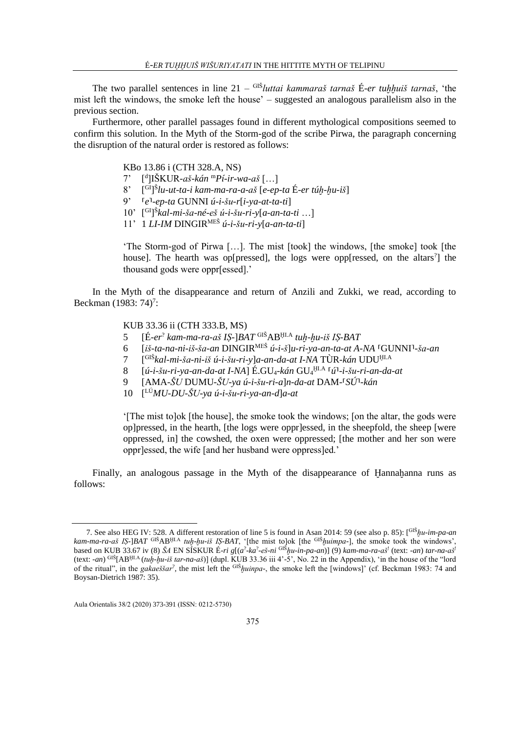The two parallel sentences in line 21 – GIŠ*luttai kammaraš tarnaš* É*-er tuḫḫuiš tarnaš*, 'the mist left the windows, the smoke left the house' – suggested an analogous parallelism also in the previous section.

Furthermore, other parallel passages found in different mythological compositions seemed to confirm this solution. In the Myth of the Storm-god of the scribe Pirwa, the paragraph concerning the disruption of the natural order is restored as follows:

KBo 13.86 i (CTH 328.A, NS)

- $7'$ d ]IŠKUR*-aš-kán* <sup>m</sup>*Pí-ir-wa-aš* […]
- $8'$ GI] Š *lu-ut-ta-i kam-ma-ra-a-aš* [*e-ep-ta* É*-er túḫ-ḫu-iš*]
- 9' ⸢*e*⸣*-ep-ta* GUNNI *ú-i-šu-r*[*i-ya-at-ta-ti*]
- 10' [ GI] Š *kal-mi-ša-né-eš ú-i-šu-ri-y*[*a-an-ta-ti* …]
- 11' 1 *LI-IM* DINGIRMEŠ *ú-i-šu-ri-y*[*a-an-ta-ti*]

'The Storm-god of Pirwa […]. The mist [took] the windows, [the smoke] took [the house]. The hearth was op[pressed], the logs were opp[ressed, on the altars<sup>2</sup>] the thousand gods were oppr[essed].'

In the Myth of the disappearance and return of Anzili and Zukki, we read, according to Beckman  $(1983: 74)^7$ :

KUB 33.36 ii (CTH 333.B, MS)

- 5 [É*-er*? *kam-ma-ra-aš IṢ-*]*BAT* GIŠABḪI.A *tuḫ-ḫu-iš IṢ-BAT*
- 6 [*iš-ta-na-ni-iš-ša-an* DINGIRMEŠ *ú-i-š*]*u-ri-ya-an-ta-at A-NA* ⸢GUNNI⸣*-ša-an*
- $\overline{7}$ GIŠ*kal-mi-ša-ni-iš ú-i-šu-ri-y*]*a-an-da-at I-NA* TÙR*-kán* UDUḪI.A
- 8 [*ú-i-šu-ri-ya-an-da-at I-NA*] É.GU4*-kán* GU<sup>4</sup> ḪI.A ⸢*ú*⸣*-i-šu-ri-an-da-at*
- 9 [AMA*-ŠU* DUMU*-ŠU-ya ú-i-šu-ri-a*]*n-da-at* DAM*-*⸢*SÚ*⸣*-kán*
- 10 [ LÚ*MU-DU-ŠU-ya ú-i-šu-ri-ya-an-d*]*a-at*

'[The mist to]ok [the house], the smoke took the windows; [on the altar, the gods were op]pressed, in the hearth, [the logs were oppr]essed, in the sheepfold, the sheep [were oppressed, in] the cowshed, the oxen were oppressed; [the mother and her son were oppr]essed, the wife [and her husband were oppress]ed.'

Finally, an analogous passage in the Myth of the disappearance of Hannahanna runs as follows:

<sup>7.</sup> See also HEG IV: 528. A different restoration of line 5 is found in Asan 2014: 59 (see also p. 85): [GIŠ*ḫu-im-pa-an kam-ma-ra-aš IṢ-*]*BAT* GIŠABḪI.A *tuḫ-ḫu-iš IṢ-BAT*, '[the mist to]ok [the GIŠ*ḫuimpa-*], the smoke took the windows', based on KUB 33.67 iv (8) *ŠA* EN SÍSKUR É*-ri g*[(*a* ? *-ka*? *-eš-ni* GIŠ*ḫu-in-pa-an*)] (9) *kam-ma-ra-aš*! (text: *-an*) *tar-na-aš*! (text: *-an*) GIŠ[ABḪI.A (*tuḫ-ḫu-iš tar-na-aš*)] (dupl. KUB 33.36 iii 4'-5', No. 22 in the Appendix), 'in the house of the "lord of the ritual", in the *gakaeššar*? , the mist left the GIŠ*ḫuinpa-*, the smoke left the [windows]' (cf. Beckman 1983: 74 and Boysan-Dietrich 1987: 35).

Aula Orientalis 38/2 (2020) 373-391 (ISSN: 0212-5730)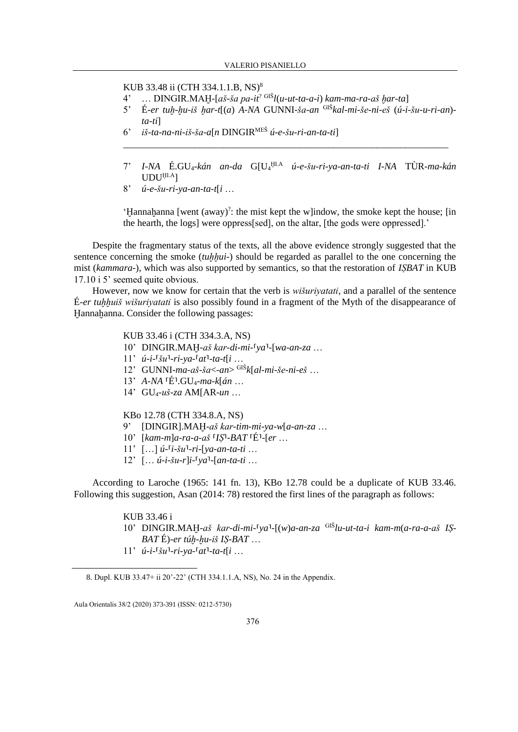KUB 33.48 ii (CTH 334.1.1.B, NS)<sup>8</sup>

- 4' … DINGIR.MAḪ*-*[*aš-ša pa-it*? GIŠ*l*(*u-ut-ta-a-i*) *kam-ma-ra-aš ḫar-ta*]
- 5' É*-er tuḫ-ḫu-iš ḫar-t*[(*a*) *A-NA* GUNNI*-ša-an* GIŠ*kal-mi-še-ni-eš* (*ú-i-šu-u-ri-an*) *ta-ti*]

\_\_\_\_\_\_\_\_\_\_\_\_\_\_\_\_\_\_\_\_\_\_\_\_\_\_\_\_\_\_\_\_\_\_\_\_\_\_\_\_\_\_\_\_\_\_\_\_\_\_\_\_\_\_\_\_\_\_\_\_\_\_\_\_\_\_\_\_

- 6' *iš-ta-na-ni-iš-ša-a*[*n* DINGIRMEŠ *ú-e-šu-ri-an-ta-ti*]
- 7' *I-NA* É.GU4*-kán an-da* G[U<sup>4</sup> ḪI.A *ú-e-šu-ri-ya-an-ta-ti I-NA* TÙR*-ma-kán* UDUḪI.A]
- 8' *ú-e-šu-ri-ya-an-ta-t*[*i* …

'Ḫannaḫanna [went (away)? : the mist kept the w]indow, the smoke kept the house; [in the hearth, the logs] were oppress[sed], on the altar, [the gods were oppressed].'

Despite the fragmentary status of the texts, all the above evidence strongly suggested that the sentence concerning the smoke *(tuhhui-)* should be regarded as parallel to the one concerning the mist (*kammara-*), which was also supported by semantics, so that the restoration of *IṢBAT* in KUB 17.10 i 5' seemed quite obvious.

However, now we know for certain that the verb is *wišuriyatati*, and a parallel of the sentence É*-er tuḫḫuiš wišuriyatati* is also possibly found in a fragment of the Myth of the disappearance of Hannahanna. Consider the following passages:

#### KUB 33.46 i (CTH 334.3.A, NS)

- 10' DINGIR.MAH-aš kar-di-mi-<sup>[</sup>ya<sup>1</sup>-[wa-an-za ...
- $11'$   $\hat{u}$ <sup>-*i*</sup>-<sup> $\hat{v}$ </sup> $\hat{u}$ <sup>-</sup> $\hat{v}$ <sup>-</sup> $\hat{v}$  $\hat{u}$ <sup>-*ri*</sup>- $\hat{v}$  $\hat{a}$ <sup>-*ri*</sup> $\hat{v}$  $\hat{a}$ <sup>-*ta*</sup> $\hat{u}$  $\hat{u}$ ...
- 12' GUNNI*-ma-aš-ša*<*-an*> GIŠ*k*[*al-mi-še-ni-eš* …
- 13' *A-NA* ⸢É⸣.GU4*-ma-k*[*án* …
- 14' GU4*-uš-za* AM[AR*-un* …

### KBo 12.78 (CTH 334.8.A, NS)

- 9' [DINGIR].MAḪ*-aš kar-tim-mi-ya-w*[*a-an-za* …
- 10' [*kam-m*]*a-ra-a-aš* ⸢*IṢ*⸣*-BAT* ⸢É⸣*-*[*er* …
- 11' […] *ú-*⸢*i-šu*⸣*-ri-*[*ya-an-ta-ti* …
- $12'$   $[\dots$   $\hat{u}$ - $\hat{i}$ - $\hat{s}$  $\hat{u}$ - $\hat{r}$ ] $\hat{i}$ - $\hat{y}$  $\hat{a}$ <sup>1</sup>- $[\hat{a}$  $\hat{n}$ - $\hat{t}$  $\hat{a}$  $\hat{u}$  $\hat{u}$  $\hat{u}$

According to Laroche (1965: 141 fn. 13), KBo 12.78 could be a duplicate of KUB 33.46. Following this suggestion, Asan (2014: 78) restored the first lines of the paragraph as follows:

### KUB 33.46 i

- 10' DINGIR.MAH-aš kar-di-mi-<sup>[</sup>ya<sup>1</sup>-[(w)a-an-za <sup>GIŠ</sup>lu-ut-ta-i kam-m(a-ra-a-aš IS-*BAT* É)*-er túḫ-ḫu-iš IṢ-BAT* …
- $11'$   $\hat{u}$ <sup>-*i*</sup>-<sup> $\hat{v}$ </sup> $\hat{u}$ <sup>-</sup> $\hat{i}$ <sup>-*ri*</sup>- $\hat{v}$  $\hat{a}$ <sup>- $\hat{a}$ </sup> $\hat{a}$ <sup>1</sup> $\hat{c}$  $\hat{a}$  $\hat{c}$  $\hat{b}$  $\hat{c}$  $\hat{c}$

<sup>8.</sup> Dupl. KUB 33.47+ ii 20'-22' (CTH 334.1.1.A, NS), No. 24 in the Appendix.

Aula Orientalis 38/2 (2020) 373-391 (ISSN: 0212-5730)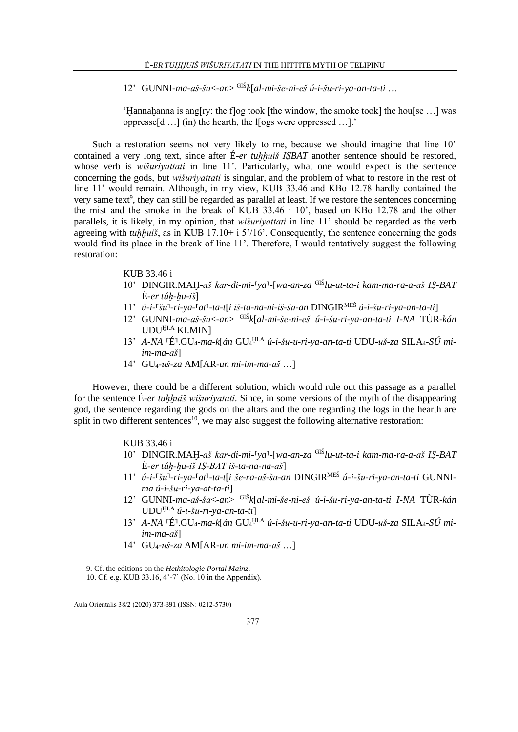12' GUNNI*-ma-aš-ša*<*-an*> GIŠ*k*[*al-mi-še-ni-eš ú-i-šu-ri-ya-an-ta-ti* …

'Ḫannaḫanna is ang[ry: the f]og took [the window, the smoke took] the hou[se …] was oppresse[d …] (in) the hearth, the l[ogs were oppressed …].'

Such a restoration seems not very likely to me, because we should imagine that line 10' contained a very long text, since after É-er tuhhuiš ISBAT another sentence should be restored, whose verb is *wišuriyattati* in line 11'. Particularly, what one would expect is the sentence concerning the gods, but *wišuriyattati* is singular, and the problem of what to restore in the rest of line 11' would remain. Although, in my view, KUB 33.46 and KBo 12.78 hardly contained the very same text<sup>9</sup>, they can still be regarded as parallel at least. If we restore the sentences concerning the mist and the smoke in the break of KUB 33.46 i 10', based on KBo 12.78 and the other parallels, it is likely, in my opinion, that *wišuriyattati* in line 11' should be regarded as the verb agreeing with *tuḫḫuiš*, as in KUB 17.10+ i 5'/16'. Consequently, the sentence concerning the gods would find its place in the break of line 11'. Therefore, I would tentatively suggest the following restoration:

# KUB 33.46 i

- 10' DINGIR.MAḪ*-aš kar-di-mi-*⸢*ya*⸣*-*[*wa-an-za* GIŠ*lu-ut-ta-i kam-ma-ra-a-aš IṢ-BAT* É*-er túḫ-ḫu-iš*]
- 11' *ú-i-*⸢*šu*⸣*-ri-ya-*⸢*at*⸣*-ta-t*[*i iš-ta-na-ni-iš-ša-an* DINGIRMEŠ *ú-i-šu-ri-ya-an-ta-ti*]
- 12' GUNNI*-ma-aš-ša*<*-an*> GIŠ*k*[*al-mi-še-ni-eš ú-i-šu-ri-ya-an-ta-ti I-NA* TÙR*-kán*  UDUḪI.A KI.MIN]
- 13' A-NA <sup>[É]</sup>.GU<sub>4</sub>-ma-k[án GU<sub>4</sub> HLA ú-i-šu-u-ri-ya-an-ta-ti UDU-uš-za SILA<sub>4</sub>-SÚ mi*im-ma-aš*]
- 14' GU4*-uš-za* AM[AR*-un mi-im-ma-aš* …]

However, there could be a different solution, which would rule out this passage as a parallel for the sentence É*-er tuḫḫuiš wišuriyatati*. Since, in some versions of the myth of the disappearing god, the sentence regarding the gods on the altars and the one regarding the logs in the hearth are split in two different sentences<sup>10</sup>, we may also suggest the following alternative restoration:

# KUB 33.46 i

- 10' DINGIR.MAḪ*-aš kar-di-mi-*⸢*ya*⸣*-*[*wa-an-za* GIŠ*lu-ut-ta-i kam-ma-ra-a-aš IṢ-BAT* É*-er túḫ-ḫu-iš IṢ-BAT iš-ta-na-na-aš*]
- 11' *ú-i-「šu<sup>1</sup>-ri-ya-<sup>「</sup>at<sup>1</sup>-ta-t[i še-ra-aš-ša-an DINGIR<sup>MEŠ</sup> ú-i-šu-ri-va-an-ta-ti GUNNIma ú-i-šu-ri-ya-at-ta-ti*]
- 12' GUNNI*-ma-aš-ša*<*-an*> GIŠ*k*[*al-mi-še-ni-eš ú-i-šu-ri-ya-an-ta-ti I-NA* TÙR*-kán*  UDUḪI.A *ú-i-šu-ri-ya-an-ta-ti*]
- 13' A-NA <sup>[É]</sup>.GU<sub>4</sub>-ma-k[án GU<sub>4</sub> HLA ú-i-šu-u-ri-ya-an-ta-ti UDU-uš-za SILA<sub>4</sub>-SÚ mi*im-ma-aš*]
- 14' GU4*-uš-za* AM[AR*-un mi-im-ma-aš* …]

<sup>9.</sup> Cf. the editions on the *Hethitologie Portal Mainz*.

<sup>10.</sup> Cf. e.g. KUB 33.16, 4'-7' (No. 10 in the Appendix).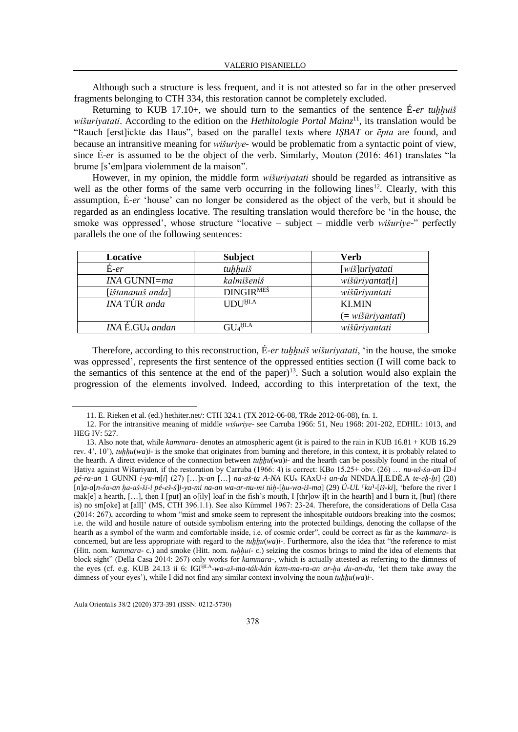Although such a structure is less frequent, and it is not attested so far in the other preserved fragments belonging to CTH 334, this restoration cannot be completely excluded.

Returning to KUB 17.10+, we should turn to the semantics of the sentence  $\acute{E}$ -er *tuhhuiš wišuriyatati*. According to the edition on the *Hethitologie Portal Mainz*<sup>11</sup>, its translation would be "Rauch [erst]ickte das Haus", based on the parallel texts where *IṢBAT* or *ēpta* are found, and because an intransitive meaning for *wišuriye-* would be problematic from a syntactic point of view, since É*-er* is assumed to be the object of the verb. Similarly, Mouton (2016: 461) translates "la brume [s'em]para violemment de la maison".

However, in my opinion, the middle form *wišuriyatati* should be regarded as intransitive as well as the other forms of the same verb occurring in the following lines<sup>12</sup>. Clearly, with this assumption, É*-er* 'house' can no longer be considered as the object of the verb, but it should be regarded as an endingless locative. The resulting translation would therefore be 'in the house, the smoke was oppressed', whose structure "locative – subject – middle verb *wišuriye-*" perfectly parallels the one of the following sentences:

| Locative                                  | <b>Subject</b>                       | Verb                                    |
|-------------------------------------------|--------------------------------------|-----------------------------------------|
| $E-er$                                    | tuhhuiš                              | [wiš]uriyatati                          |
| INA GUNNI=ma                              | kalmīšeniš                           | $wi\&\overline{u}riyantat[i]$           |
| [ištananaš anda]                          | DINGIR <sup>MES</sup>                | wišūriyantati                           |
| <b><i>INA TÙR anda</i></b>                | <b>UDU</b> <sup>HLA</sup>            | <b>KLMIN</b>                            |
|                                           |                                      | $(= w i \tilde{s} \bar{u} r i$ yantati) |
| $INA$ $\acute{E}$ . GU <sub>4</sub> andan | $\operatorname{GL}_4^{\mathrm{HLA}}$ | wišūriyantati                           |

Therefore, according to this reconstruction, É*-er tuḫḫuiš wišuriyatati*, 'in the house, the smoke was oppressed', represents the first sentence of the oppressed entities section (I will come back to the semantics of this sentence at the end of the paper)<sup>13</sup>. Such a solution would also explain the progression of the elements involved. Indeed, according to this interpretation of the text, the

<sup>11.</sup> E. Rieken et al. (ed.) hethiter.net/: CTH 324.1 (TX 2012-06-08, TRde 2012-06-08), fn. 1.

<sup>12.</sup> For the intransitive meaning of middle *wišuriye-* see Carruba 1966: 51, Neu 1968: 201-202, EDHIL: 1013, and HEG IV: 527.

<sup>13.</sup> Also note that, while *kammara-* denotes an atmospheric agent (it is paired to the rain in KUB 16.81 + KUB 16.29 rev. 4', 10'), *tuḫḫu*(*wa*)*i-* is the smoke that originates from burning and therefore, in this context, it is probably related to the hearth. A direct evidence of the connection between  $tuhhu(wa)i$ - and the hearth can be possibly found in the ritual of Ḫatiya against Wišuriyant, if the restoration by Carruba (1966: 4) is correct: KBo 15.25+ obv. (26) … *nu-uš-ša-an* ÍD*-i pé-ra-an* 1 GUNNI *i-ya-m*[*i*] (27) […]x*-an* […] *na-aš-ta A-NA* KU<sup>6</sup> KAxU*-i an-da* NINDA.Ì[.E.DÉ.A *te-eḫ-ḫi*] (28) [*n*]*a-a*[*n-ša-an ḫa-aš-ši-i pé-eš-š*]*i-ya-mi na-an wa-ar-nu-mi túḫ-*[*ḫu-wa-iš-ma*] (29) *Ú-UL* ⸢*ku*⸣*-*[*iš-ki*], 'before the river I mak[e] a hearth, [...], then I [put] an o[ily] loaf in the fish's mouth, I [thr]ow i[t in the hearth] and I burn it, [but] (there is) no sm[oke] at [all]' (MS, CTH 396.1.1). See also Kümmel 1967: 23-24. Therefore, the considerations of Della Casa (2014: 267), according to whom "mist and smoke seem to represent the inhospitable outdoors breaking into the cosmos; i.e. the wild and hostile nature of outside symbolism entering into the protected buildings, denoting the collapse of the hearth as a symbol of the warm and comfortable inside, i.e. of cosmic order", could be correct as far as the *kammara-* is concerned, but are less appropriate with regard to the *tuhhu*(*wa*)*i*-. Furthermore, also the idea that "the reference to mist (Hitt. nom. *kammara-* c.) and smoke (Hitt. nom. *tuḫḫui-* c.) seizing the cosmos brings to mind the idea of elements that block sight" (Della Casa 2014: 267) only works for *kammara-*, which is actually attested as referring to the dimness of the eyes (cf. e.g. KUB 24.13 ii 6: IGIḪI.A*-wa-aš-ma-ták-kán kam-ma-ra-an ar-ḫa da-an-du*, 'let them take away the dimness of your eyes'), while I did not find any similar context involving the noun *tuḫḫu*(*wa*)*i-*.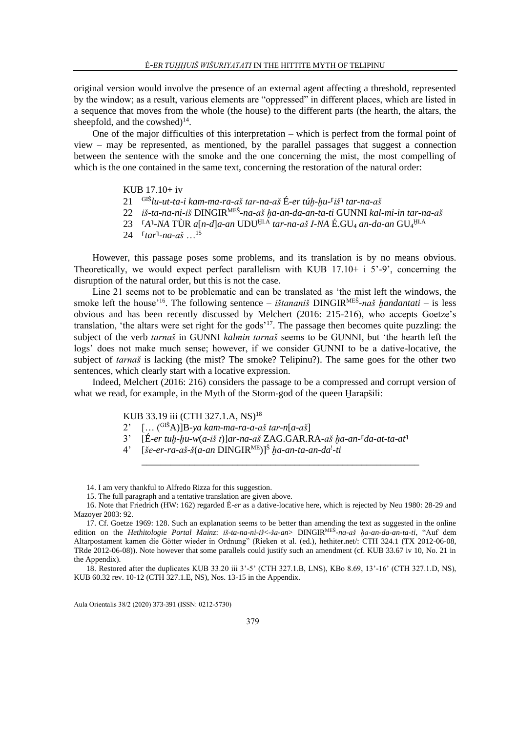original version would involve the presence of an external agent affecting a threshold, represented by the window; as a result, various elements are "oppressed" in different places, which are listed in a sequence that moves from the whole (the house) to the different parts (the hearth, the altars, the sheepfold, and the cowshed) $^{14}$ .

One of the major difficulties of this interpretation – which is perfect from the formal point of view – may be represented, as mentioned, by the parallel passages that suggest a connection between the sentence with the smoke and the one concerning the mist, the most compelling of which is the one contained in the same text, concerning the restoration of the natural order:

KUB 17.10+ iv

- 21 GIŠ*lu-ut-ta-i kam-ma-ra-aš tar-na-aš* É*-er túḫ-ḫu-*⸢*iš*⸣ *tar-na-aš*
- 22 *iš-ta-na-ni-iš* DINGIRMEŠ *-na-aš ḫa-an-da-an-ta-ti* GUNNI *kal-mi-in tar-na-aš*
- 23 ⸢*A*⸣*-NA* TÙR *a*[*n-d*]*a-an* UDUḪI.A *tar-na-aš I-NA* É.GU<sup>4</sup> *an-da-an* GU<sup>4</sup> ḪI.A
- 24  $[tar]$ -na-aš ...<sup>15</sup>

However, this passage poses some problems, and its translation is by no means obvious. Theoretically, we would expect perfect parallelism with KUB  $17.10+ i 5'$ -9', concerning the disruption of the natural order, but this is not the case.

Line 21 seems not to be problematic and can be translated as 'the mist left the windows, the smoke left the house<sup>'16</sup>. The following sentence – *ištananiš* DINGIR<sup>MEŠ</sup>-naš handantati – is less obvious and has been recently discussed by Melchert (2016: 215-216), who accepts Goetze's translation, 'the altars were set right for the gods'<sup>17</sup>. The passage then becomes quite puzzling: the subject of the verb *tarnaš* in GUNNI *kalmin tarnaš* seems to be GUNNI, but 'the hearth left the logs' does not make much sense; however, if we consider GUNNI to be a dative-locative, the subject of *tarnaš* is lacking (the mist? The smoke? Telipinu?). The same goes for the other two sentences, which clearly start with a locative expression.

Indeed, Melchert (2016: 216) considers the passage to be a compressed and corrupt version of what we read, for example, in the Myth of the Storm-god of the queen Harapšili:

KUB 33.19 iii (CTH 327.1.A, NS)<sup>18</sup>

- 2' [… (GIŠA)]B*-ya kam-ma-ra-a-aš tar-n*[*a-aš*]
- 3'  $[\hat{E}-er\ tuh-hu-w(a-i\check{s}\ t)]$ ar-na-aš ZAG.GAR.RA-aš ha-an-<sup> $[a-a\tau-\tau]$ </sup>

\_\_\_\_\_\_\_\_\_\_\_\_\_\_\_\_\_\_\_\_\_\_\_\_\_\_\_\_\_\_\_\_\_\_\_\_\_\_\_\_\_\_\_\_\_\_\_\_\_\_\_\_\_\_\_\_\_\_

4' [*še-er-ra-aš-š*(*a-an* DINGIRME)]<sup>Š</sup> *ḫa-an-ta-an-da*! *-ti*

<sup>14.</sup> I am very thankful to Alfredo Rizza for this suggestion.

<sup>15.</sup> The full paragraph and a tentative translation are given above.

<sup>16.</sup> Note that Friedrich (HW: 162) regarded É*-er* as a dative-locative here, which is rejected by Neu 1980: 28-29 and Mazoyer 2003: 92.

<sup>17.</sup> Cf. Goetze 1969: 128. Such an explanation seems to be better than amending the text as suggested in the online edition on the *Hethitologie Portal Mainz*: *iš-ta-na-ni-iš*<*-ša-an*> DINGIRMEŠ *-na-aš ḫa-an-da-an-ta-ti*, "Auf dem Altarpostament kamen die Götter wieder in Ordnung" (Rieken et al. (ed.), hethiter.net/: CTH 324.1 (TX 2012-06-08, TRde 2012-06-08)). Note however that some parallels could justify such an amendment (cf. KUB 33.67 iv 10, No. 21 in the Appendix).

<sup>18.</sup> Restored after the duplicates KUB 33.20 iii 3'-5' (CTH 327.1.B, LNS), KBo 8.69, 13'-16' (CTH 327.1.D, NS), KUB 60.32 rev. 10-12 (CTH 327.1.E, NS), Nos. 13-15 in the Appendix.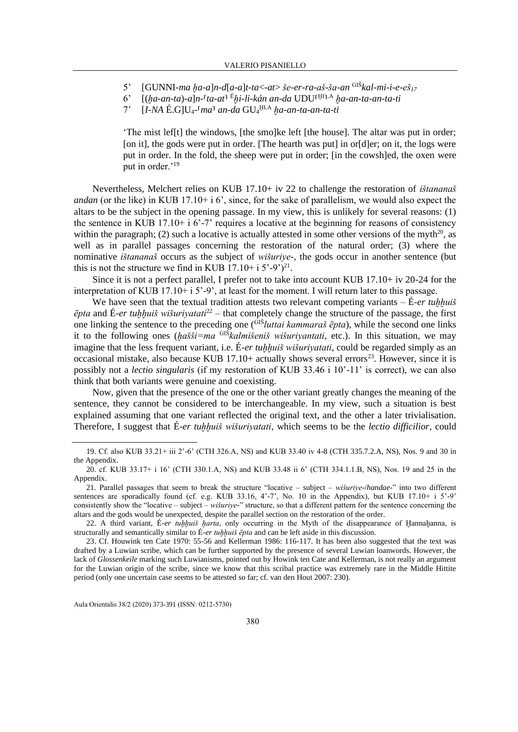- 5' [GUNNI*-ma ḫa-a*]*n-d*[*a-a*]*t-ta*<*-at*> *še-er-ra-aš-ša-an* GIŠ*kal-mi-i-e-eš<sup>17</sup>*
- 6' [(*ḫa-an-ta*)*-a*]*n-*⸢*ta-at*⸣ <sup>É</sup>*ḫi-li-kán an-da* UDU⸢ ḪI ⸣ .A *ḫa-an-ta-an-ta-ti*
- 7' [*I-NA* É.G]U4*-*⸢*ma*⸣ *an-da* GU<sup>4</sup> ḪI.A *ḫa-an-ta-an-ta-ti*

'The mist lef[t] the windows, [the smo]ke left [the house]. The altar was put in order; [on it], the gods were put in order. [The hearth was put] in or [d]er; on it, the logs were put in order. In the fold, the sheep were put in order; [in the cowsh]ed, the oxen were put in order.'<sup>19</sup>

Nevertheless, Melchert relies on KUB 17.10+ iv 22 to challenge the restoration of *ištananaš andan* (or the like) in KUB 17.10+ i 6', since, for the sake of parallelism, we would also expect the altars to be the subject in the opening passage. In my view, this is unlikely for several reasons: (1) the sentence in KUB 17.10+ i 6'-7' requires a locative at the beginning for reasons of consistency within the paragraph; (2) such a locative is actually attested in some other versions of the myth<sup>20</sup>, as well as in parallel passages concerning the restoration of the natural order; (3) where the nominative *ištananaš* occurs as the subject of *wišuriye-*, the gods occur in another sentence (but this is not the structure we find in KUB  $17.10 + i 5'$ -9')<sup>21</sup>.

Since it is not a perfect parallel, I prefer not to take into account KUB 17.10+ iv 20-24 for the interpretation of KUB 17.10+ i 5'-9', at least for the moment. I will return later to this passage.

We have seen that the textual tradition attests two relevant competing variants  $-\hat{E}$ -er *tuhhuiš ēpta* and É*-er tuḫḫuiš wišuriyatati*<sup>22</sup> – that completely change the structure of the passage, the first one linking the sentence to the preceding one (GIŠ*luttai kammaraš ēpta*), while the second one links it to the following ones (*ḫašši=ma* GIŠ*kalmišeniš wišuriyantati*, etc.). In this situation, we may imagine that the less frequent variant, i.e.  $\acute{E}$ -*er tuhhuiš wišuriyatati*, could be regarded simply as an occasional mistake, also because KUB  $17.10+$  actually shows several errors<sup>23</sup>. However, since it is possibly not a *lectio singularis* (if my restoration of KUB 33.46 i 10'-11' is correct), we can also think that both variants were genuine and coexisting.

Now, given that the presence of the one or the other variant greatly changes the meaning of the sentence, they cannot be considered to be interchangeable. In my view, such a situation is best explained assuming that one variant reflected the original text, and the other a later trivialisation. Therefore, I suggest that É*-er tuḫḫuiš wišuriyatati*, which seems to be the *lectio difficilior*, could

<sup>19.</sup> Cf. also KUB 33.21+ iii 2'-6' (CTH 326.A, NS) and KUB 33.40 iv 4-8 (CTH 335.7.2.A, NS), Nos. 9 and 30 in the Appendix.

<sup>20.</sup> cf. KUB 33.17+ i 16' (CTH 330.1.A, NS) and KUB 33.48 ii 6' (CTH 334.1.1.B, NS), Nos. 19 and 25 in the Appendix.

<sup>21.</sup> Parallel passages that seem to break the structure "locative – subject – *wišuriye-*/*handae-*" into two different sentences are sporadically found (cf. e.g. KUB 33.16, 4'-7', No. 10 in the Appendix), but KUB 17.10+ i 5'-9' consistently show the "locative – subject – *wišuriye-*" structure, so that a different pattern for the sentence concerning the altars and the gods would be unexpected, despite the parallel section on the restoration of the order.

<sup>22.</sup> A third variant, É*-er tuḫḫuiš ḫarta*, only occurring in the Myth of the disappearance of Ḫannaḫanna, is structurally and semantically similar to  $\acute{E}$ -er *tuhhuiš ēpta* and can be left aside in this discussion.

<sup>23.</sup> Cf. Houwink ten Cate 1970: 55-56 and Kellerman 1986: 116-117. It has been also suggested that the text was drafted by a Luwian scribe, which can be further supported by the presence of several Luwian loanwords. However, the lack of *Glossenkeile* marking such Luwianisms, pointed out by Howink ten Cate and Kellerman, is not really an argument for the Luwian origin of the scribe, since we know that this scribal practice was extremely rare in the Middle Hittite period (only one uncertain case seems to be attested so far; cf. van den Hout 2007: 230).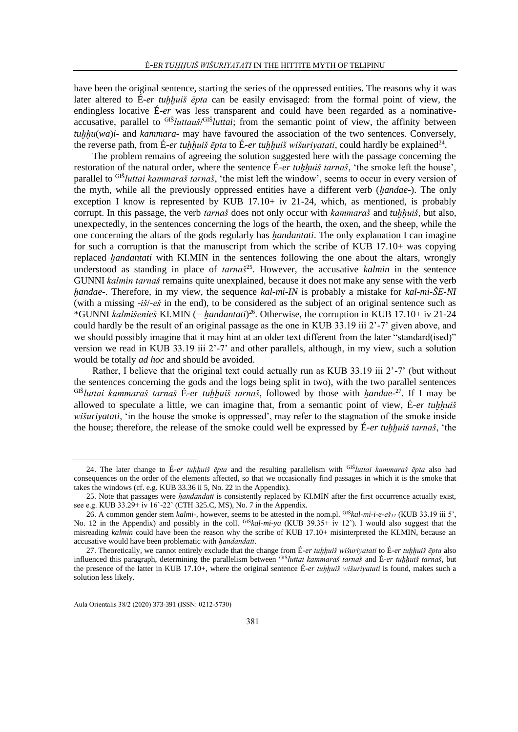have been the original sentence, starting the series of the oppressed entities. The reasons why it was later altered to É*-er tuḫḫuiš ēpta* can be easily envisaged: from the formal point of view, the endingless locative É*-er* was less transparent and could have been regarded as a nominativeaccusative, parallel to GIŠ*luttauš*/ GIŠ*luttai*; from the semantic point of view, the affinity between *tuhhu*(*wa*)*i*- and *kammara*- may have favoured the association of the two sentences. Conversely, the reverse path, from É-er *tuḫḫuiš ēpta* to É-er *tuḫḫuiš wišuriyatati*, could hardly be explained<sup>24</sup>.

The problem remains of agreeing the solution suggested here with the passage concerning the restoration of the natural order, where the sentence É*-er tuḫḫuiš tarnaš*, 'the smoke left the house', parallel to GIŠ*luttai kammaraš tarnaš*, 'the mist left the window', seems to occur in every version of the myth, while all the previously oppressed entities have a different verb (*ḫandae-*). The only exception I know is represented by KUB 17.10+ iv 21-24, which, as mentioned, is probably corrupt. In this passage, the verb *tarnaš* does not only occur with *kammaraš* and *tuḫḫuiš*, but also, unexpectedly, in the sentences concerning the logs of the hearth, the oxen, and the sheep, while the one concerning the altars of the gods regularly has *ḫandantati*. The only explanation I can imagine for such a corruption is that the manuscript from which the scribe of KUB 17.10+ was copying replaced *ḫandantati* with KI.MIN in the sentences following the one about the altars, wrongly understood as standing in place of *tarnaš*<sup>25</sup>. However, the accusative *kalmin* in the sentence GUNNI *kalmin tarnaš* remains quite unexplained, because it does not make any sense with the verb *ḫandae-*. Therefore, in my view, the sequence *kal-mi-IN* is probably a mistake for *kal-mi-ŠE-NI*  (with a missing *-iš*/*-eš* in the end), to be considered as the subject of an original sentence such as \*GUNNI *kalmišenieš* KI.MIN (= *ḫandantati*) <sup>26</sup>. Otherwise, the corruption in KUB 17.10+ iv 21-24 could hardly be the result of an original passage as the one in KUB 33.19 iii 2'-7' given above, and we should possibly imagine that it may hint at an older text different from the later "standard(ised)" version we read in KUB 33.19 iii 2'-7' and other parallels, although, in my view, such a solution would be totally *ad hoc* and should be avoided.

Rather, I believe that the original text could actually run as KUB 33.19 iii 2'-7' (but without the sentences concerning the gods and the logs being split in two), with the two parallel sentences GIŠ*luttai kammaraš tarnaš* É*-er tuḫḫuiš tarnaš*, followed by those with *ḫandae-*<sup>27</sup>. If I may be allowed to speculate a little, we can imagine that, from a semantic point of view, É*-er tuḫḫuiš wišuriyatati*, 'in the house the smoke is oppressed', may refer to the stagnation of the smoke inside the house; therefore, the release of the smoke could well be expressed by É*-er tuḫḫuiš tarnaš*, 'the

<sup>24.</sup> The later change to É*-er tuḫḫuiš ēpta* and the resulting parallelism with GIŠ*luttai kammaraš ēpta* also had consequences on the order of the elements affected, so that we occasionally find passages in which it is the smoke that takes the windows (cf. e.g. KUB 33.36 ii 5, No. 22 in the Appendix).

<sup>25.</sup> Note that passages were *ḫandandati* is consistently replaced by KI.MIN after the first occurrence actually exist, see e.g. KUB 33.29+ iv 16'-22' (CTH 325.C, MS), No. 7 in the Appendix.

<sup>26.</sup> A common gender stem *kalmi-*, however, seems to be attested in the nom.pl. GIŠ*kal-mi-i-e-eš<sup>17</sup>* (KUB 33.19 iii 5', No. 12 in the Appendix) and possibly in the coll. GIŠ*kal-mi-ya* (KUB 39.35+ iv 12'). I would also suggest that the misreading *kalmin* could have been the reason why the scribe of KUB 17.10+ misinterpreted the KI.MIN, because an accusative would have been problematic with *ḫandandati*.

<sup>27.</sup> Theoretically, we cannot entirely exclude that the change from É*-er tuḫḫuiš wišuriyatati* to É*-er tuḫḫuiš ēpta* also influenced this paragraph, determining the parallelism between GIŠ*luttai kammaraš tarnaš* and É*-er tuḫḫuiš tarnaš*, but the presence of the latter in KUB 17.10+, where the original sentence É*-er tuḫḫuiš wišuriyatati* is found, makes such a solution less likely.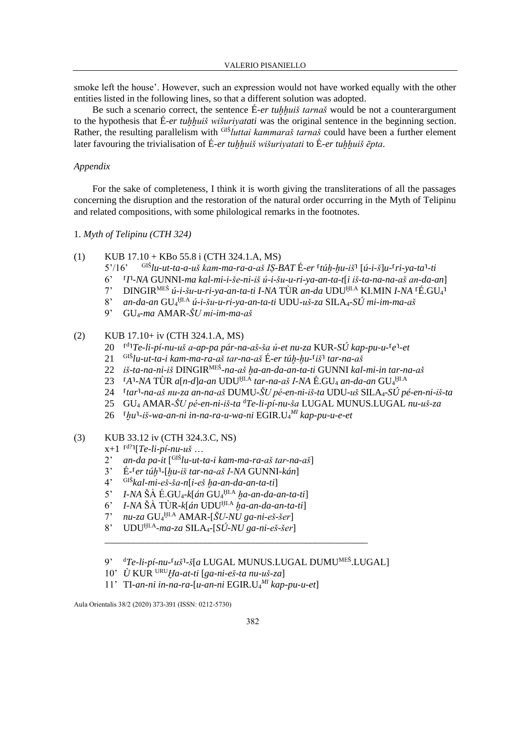smoke left the house'. However, such an expression would not have worked equally with the other entities listed in the following lines, so that a different solution was adopted.

Be such a scenario correct, the sentence É-er *tuhhuiš tarnaš* would be not a counterargument to the hypothesis that É*-er tuḫḫuiš wišuriyatati* was the original sentence in the beginning section. Rather, the resulting parallelism with <sup>GIŠ</sup>luttai kammaraš tarnaš could have been a further element later favouring the trivialisation of É-er *tuhhuiš wišurivatati* to É-er *tuhhuiš ēpta*.

### *Appendix*

For the sake of completeness, I think it is worth giving the transliterations of all the passages concerning the disruption and the restoration of the natural order occurring in the Myth of Telipinu and related compositions, with some philological remarks in the footnotes.

- 1. *Myth of Telipinu (CTH 324)*
- (1) KUB 17.10 + KBo 55.8 i (CTH 324.1.A, MS)
	- 5'/16' GIŠ*lu-ut-ta-a-uš kam-ma-ra-a-aš IṢ-BAT* É*-er* ⸢*túḫ-ḫu-iš*⸣ [*ú-i-š*]*u-*⸢*ri-ya-ta*⸣*-ti*
	- 6' ⸢*I*⸣*-NA* GUNNI*-ma kal-mi-i-še-ni-iš ú-i-šu-u-ri-ya-an-ta-t*[*i iš-ta-na-na-aš an-da-an*]
	- 7' DINGIRMEŠ *ú-i-šu-u-ri-ya-an-ta-ti I-NA* TÙR *an-da* UDUḪI.A KI.MIN *I-NA* ⸢É.GU4⸣
	- 8' *an-da-an* GU<sup>4</sup> ḪI.A *ú-i-šu-u-ri-ya-an-ta-ti* UDU*-uš-za* SILA4*-SÚ mi-im-ma-aš*
	- 9' GU4*-ma* AMAR*-ŠU mi-im-ma-aš*

# (2) KUB 17.10+ iv (CTH 324.1.A, MS)

- 20 ⸢ d ⸣*Te-li-pí-nu-uš a-ap-pa pár-na-aš-ša ú-et nu-za* KUR*-SÚ kap-pu-u-*⸢*e*⸣*-et*
- 21 GIŠ*lu-ut-ta-i kam-ma-ra-aš tar-na-aš* É*-er túḫ-ḫu-*⸢*iš*⸣ *tar-na-aš*
- 22 *iš-ta-na-ni-iš* DINGIRMEŠ *-na-aš ḫa-an-da-an-ta-ti* GUNNI *kal-mi-in tar-na-aš*
- 23 ⸢*A*⸣*-NA* TÙR *a*[*n-d*]*a-an* UDUḪI.A *tar-na-aš I-NA* É.GU<sup>4</sup> *an-da-an* GU<sup>4</sup> ḪI.A
- 24 ⸢*tar*⸣*-na-aš nu-za an-na-aš* DUMU*-ŠU pé-en-ni-iš-ta* UDU*-uš* SILA4*-SÚ pé-en-ni-iš-ta*
- 25 GU<sup>4</sup> AMAR*-ŠU pé-en-ni-iš-ta* <sup>d</sup>*Te-li-pí-nu-ša* LUGAL MUNUS.LUGAL *nu-uš-za*
- 26 ⸢*ḫu*⸣*-iš-wa-an-ni in-na-ra-u-wa-ni* EGIR.U<sup>4</sup> *MI kap-pu-u-e-et*

### (3) KUB 33.12 iv (CTH 324.3.C, NS)

- $x+1$ <sup> $\lceil d^{2} \rceil$ [*Te-li-pí-nu-uš* ...</sup>
- 2' *an-da pa-it* [ GIŠ*lu-ut-ta-i kam-ma-ra-aš tar-na-aš*]
- 3' É*-*⸢*er túḫ*⸣*-*[*ḫu-iš tar-na-aš I-NA* GUNNI*-kán*]
- 4' GIŠ*kal-mi-eš-ša-n*[*i-eš ḫa-an-da-an-ta-ti*]
- 5' *I-NA* ŠÀ É.GU4*-k*[*án* GU<sup>4</sup> ḪI.A *ḫa-an-da-an-ta-ti*]
- 6' *I-NA* ŠÀ TÙR*-k*[*án* UDUḪI.A *ḫa-an-da-an-ta-ti*]
- 7' *nu-za* GU<sup>4</sup> ḪI.A AMAR*-*[*ŠU-NU ga-ni-eš-šer*]
- 8' UDUḪI.A *-ma-za* SILA4*-*[*SÚ-NU ga-ni-eš-šer*]
- 9' d<sup>*Te-li-pí-nu-<sup>[</sup>uš*]-š[a LUGAL MUNUS.LUGAL DUMU<sup>MEŠ</sup>.LUGAL]</sup>

\_\_\_\_\_\_\_\_\_\_\_\_\_\_\_\_\_\_\_\_\_\_\_\_\_\_\_\_\_\_\_\_\_\_\_\_\_\_\_\_\_\_\_\_\_\_\_\_\_\_\_\_\_\_\_

- 10' *Ù* KUR URU*Ḫa-at-ti* [*ga-ni-eš-ta nu-uš-za*]
- 11' TI*-an-ni in-na-ra-*[*u-an-ni* EGIR.U<sup>4</sup> *MI kap-pu-u-et*]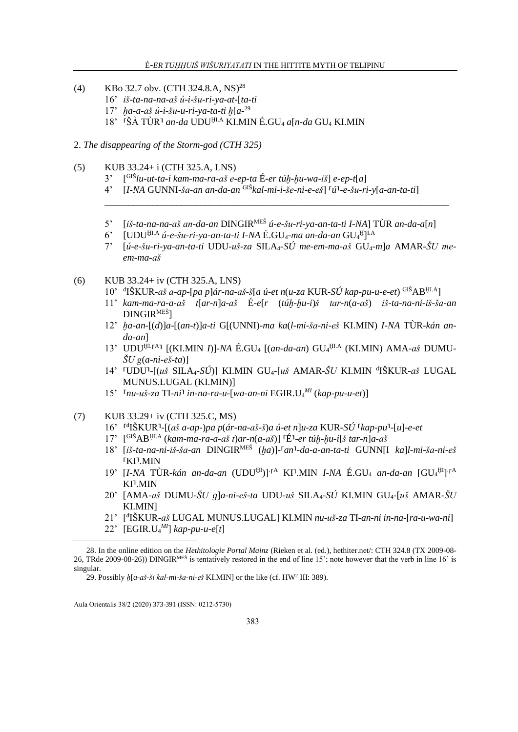- $(4)$ KBo 32.7 obv. (CTH 324.8.A, NS)<sup>28</sup>
	- 16' iš-ta-na-na-aš ú-i-šu-ri-ya-at-[ta-ti
	- 17' ha-a-aš ú-i-šu-u-ri-va-ta-ti h $[a^{-29}]$
	- 18' <sup>r</sup>ŠÀ TÙR<sup>1</sup> an-da UDU<sup>HLA</sup> KI.MIN É.GU<sub>4</sub> a[n-da GU<sub>4</sub> KI.MIN
- 2. The disappearing of the Storm-god (CTH 325)
- $(5)$ KUB 33.24+ i (CTH 325.A, LNS)
	- $\lceil$ <sup>GIŠ</sup>lu-ut-ta-i kam-ma-ra-aš e-ep-ta É-er túh-hu-wa-iš $\lceil$  e-ep-t $\lceil a \rceil$  $3'$
	- $[I-NA$  GUNNI-ša-an an-da-an  $\overline{^{GIS}}$ kal-mi-i-še-ni-e-eš $]$   $\overline{u}$ <sup>1</sup>-e-šu-ri-v $[a$ -an-ta-til  $4'$
	- 5' [iš-ta-na-na-aš an-da-an DINGIR<sup>MEŠ</sup> ú-e-šu-ri-ya-an-ta-ti I-NA] TÙR an-da-a[n]
	- [UDU<sup>HLA</sup> ú-e-šu-ri-ya-an-ta-ti I-NA É.GU<sub>4</sub>-ma an-da-an GU<sub>4</sub><sup>H</sup>]<sup>LA</sup>  $6^{\circ}$
	- $(i.e-šu-ri-va-an-ta-ti UDU-us-za SILA<sub>4</sub>-SÚ me-em-ma-aš GU<sub>4</sub>-mla AMAR-ŠU me 7'$ em-ma-aš
- $(6)$ KUB 33.24+ iv (CTH 325.A, LNS)
	- 10' dIŠKUR-aš a-ap-[pa p]ár-na-aš-š[a ú-et n(u-za KUR-SÚ kap-pu-u-e-et) GIŠABHLA]
	- 11' kam-ma-ra-a-aš  $t[\ar-n]a-a\breve{S}$   $\breve{E}-e[r (t \acute{u}h-hu-i)\breve{S}$   $tar-n(a-a\breve{S})$   $i\breve{S}-ta-na-ni-i\breve{S}-\breve{S}a-an$  $DINGIR<sup>ME</sup>$ <sup>1</sup>
	- 12' ha-an-[(d)]a-[(an-t)]a-ti G[(UNNI)-ma ka(l-mi-ša-ni-eš KI.MIN) I-NA TÙR-kán an $da$ -anl
	- 13' UDU<sup>HLIA1</sup> [(KI.MIN I)]-NA É.GU<sub>4</sub> [(an-da-an) GU<sub>4</sub>HLA (KI.MIN) AMA-aš DUMU- $\check{S}U$  g(a-ni-eš-ta)]
	- 14' <sup>[UDU]</sup>-[(uš SILA<sub>4</sub>-SÚ)] KI.MIN GU<sub>4</sub>-[uš AMAR-ŠU KI.MIN <sup>d</sup>IŠKUR-aš LUGAL MUNUS.LUGAL (KI.MIN)]
	- 15'  $\lceil nu-u\check{s} za$  TI-ni<sup>1</sup> in-na-ra-u-[wa-an-ni EGIR.U<sub>4</sub><sup>M</sup> (kap-pu-u-et)]
- KUB 33.29+ iv (CTH 325.C, MS)  $(7)$ 
	- 16' <sup>rd</sup>IŠKUR<sup>1</sup>-[(aš a-ap-)pa p(ár-na-aš-š)a ú-et n]u-za KUR-SÚ <sup>r</sup>kap-pu<sup>1</sup>-[u]-e-et
	- $17'$   $[<sup>GI\&AB</sup>$ <sup>HLA</sup> (kam-ma-ra-a-aš t)ar-n(a-aš)]<sup>[É1</sup>-er túh-hu-i[š tar-n]a-aš
	- 18' [iš-ta-na-ni-iš-ša-an DINGIR<sup>MEŠ</sup> (ha)]-<sup>[</sup>an<sup>1</sup>-da-a-an-ta-ti GUNN[I ka]l-mi-ša-ni-eš **TKI'.MIN**
	- 19' [I-NA TÙR-kán an-da-an (UDU<sup>HI</sup>)]<sup>[A</sup> KI<sup>]</sup>.MIN I-NA É.GU<sub>4</sub> an-da-an [GU<sub>4</sub><sup>HI</sup>]<sup>[A</sup> KI<sup>1</sup>.MIN
	- 20' [AMA-aš DUMU-ŠU g]a-ni-eš-ta UDU-uš SILA4-SÚ KI.MIN GU4-[uš AMAR-ŠU **KI.MIN**
	- 21' [d]ŠKUR-aš LUGAL MUNUS.LUGAL] KI.MIN nu-uš-za TI-an-ni in-na-[ra-u-wa-ni]
	- 22' [EGIR.U<sub>4</sub><sup>MI</sup>] kap-pu-u-e[t]

<sup>28.</sup> In the online edition on the *Hethitologie Portal Mainz* (Rieken et al. (ed.), hethiter.net/: CTH 324.8 (TX 2009-08-26, TRde 2009-08-26)) DINGIR<sup>MES</sup> is tentatively restored in the end of line 15'; note however that the verb in line 16' is singular.

<sup>29.</sup> Possibly  $h[a-a\check{s}\text{-}\check{s}i\;kal\text{-}mi\text{-}\check{s}a\text{-}ni\text{-}\check{e}\check{s}$  KI.MIN] or the like (cf. HW<sup>2</sup> III: 389).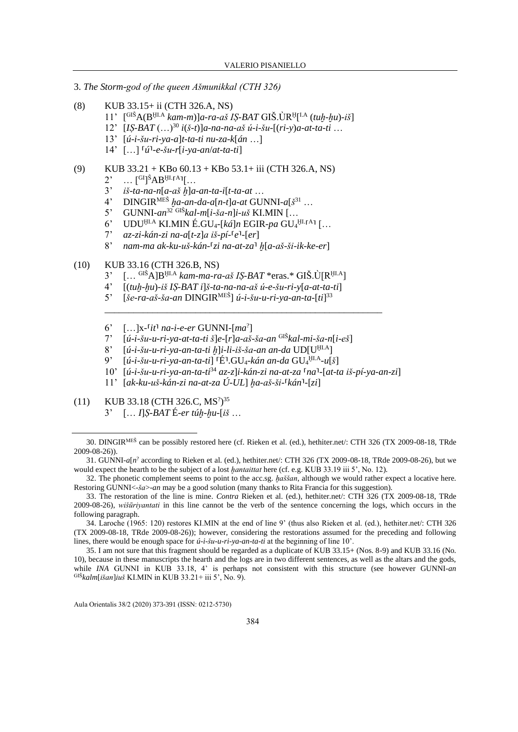- 3. *The Storm-god of the queen Ašmunikkal (CTH 326)*
- (8) KUB 33.15+ ii (CTH 326.A, NS)
	- 11' [ GIŠA(BḪI.A *kam-m*)]*a-ra-aš IṢ-BAT* GIŠ.ÙR<sup>Ḫ</sup> [ I.A (*tuḫ-ḫu*)*-iš*]
	- 12' [*IṢ-BAT* (…)<sup>30</sup> *i*(*š-t*)]*a-na-na-aš ú-i-šu-*[(*ri-y*)*a-at-ta-ti* …
	- 13' [*ú-i-šu-ri-ya-a*]*t-ta-ti nu-za-k*[*án* …]
	- 14' […] ⸢*ú*⸣*-e-šu-r*[*i-ya-an*/*at-ta-ti*]
- (9) KUB  $33.21 +$ KBo  $60.13 +$ KBo  $53.1 +$  iii (CTH 326.A, NS)
	- $2^{\prime}$   $\ldots$  [<sup>GI</sup>]<sup>S</sup>AB<sup>HL</sup>[A][...
	- 3' *iš-ta-na-n*[*a-aš ḫ*]*a-an-ta-i*[*t-ta-at* …
	- 4' DINGIRMEŠ *ḫa-an-da-a*[*n-t*]*a-at* GUNNI*-a*[*š* <sup>31</sup> …
	- 5' GUNNI*-an*<sup>32</sup> GIŠ*kal-m*[*i-ša-n*]*i-uš* KI.MIN […
	- 6' UDU<sup>ḤI.A</sup> KI.MIN É.GU<sub>4</sub>-[*ká*]*n* EGIR-*pa* GU<sub>4</sub><sup>HI.</sup><sup>[A]</sup> [...
	- $7'$  *az-zi-kán-zi na-a*[ $t$ -z]*a iš-pí-*[ $e$ <sup> $1$ </sup>-[ $er$ ]
	- 8' *nam-ma ak-ku-uš-kán-*⸢*zi na-at-za*⸣ *ḫ*[*a-aš-ši-ik-ke-er*]

### (10) KUB 33.16 (CTH 326.B, NS)

- 3' [… GIŠA]BḪI.A *kam-ma-ra-aš IṢ-BAT* \*eras.\* GIŠ.Ù[RḪI.A]
- 4' [(*tuḫ-ḫu*)*-iš IṢ-BAT i*]*š-ta-na-na-aš ú-e-šu-ri-y*[*a-at-ta-ti*]
- 5' [*še-ra-aš-ša-an* DINGIRMEŠ] *ú-i-šu-u-ri-ya-an-ta-*[*ti*] 33
- 6' […]x*-*⸢*it*⸣ *na-i-e-er* GUNNI*-*[*ma*? ]
- 7' [*ú-i-šu-u-ri-ya-at-ta-ti š*]*e-*[*r*]*a-aš-ša-an* GIŠ*kal-mi-ša-n*[*i-eš*]

\_\_\_\_\_\_\_\_\_\_\_\_\_\_\_\_\_\_\_\_\_\_\_\_\_\_\_\_\_\_\_\_\_\_\_\_\_\_\_\_\_\_\_\_\_\_\_\_\_\_\_\_\_\_\_\_\_\_

- 8' [*ú-i-šu-u-ri-ya-an-ta-ti h*]*i-li-iš-ša-an an-da* UD[U<sup>HLA</sup>]<br>9' [*ú-i-šu-u-ri-ya-an-ta-ti*] [É] GU<sub>4-</sub>kán an-da GU4<sup>HLA</sup>-ulš
- 9' [*ú-i-šu-u-ri-ya-an-ta-ti*] ⸢É⸣.GU4*-kán an-da* GU<sup>4</sup> ḪI.A *-u*[*š*]
- 10' [*ú-i-šu-u-ri-ya-an-ta-ti*<sup>34</sup> *az-z*]*i-kán-zi na-at-za* ⸢*na*⸣*-*[*at-ta iš-pí-ya-an-zi*]
- 11' [*ak-ku-uš-kán-zi na-at-za Ú-UL*] *ḫa-aš-ši-*⸢*kán*⸣*-*[*zi*]
- (11) KUB 33.18 (CTH 326.C, MS<sup>2</sup>)<sup>35</sup>
	- 3' [… *I*]*Ṣ-BAT* É*-er túḫ-ḫu-*[*iš* …

<sup>30.</sup> DINGIRMEŠ can be possibly restored here (cf. Rieken et al. (ed.), hethiter.net/: CTH 326 (TX 2009-08-18, TRde 2009-08-26)).

<sup>31.</sup> GUNNI- $a[n]$ <sup>2</sup> according to Rieken et al. (ed.), hethiter.net/: CTH 326 (TX 2009-08-18, TRde 2009-08-26), but we would expect the hearth to be the subject of a lost *ḫantaittat* here (cf. e.g. KUB 33.19 iii 5', No. 12).

<sup>32.</sup> The phonetic complement seems to point to the acc.sg. *ḫaššan*, although we would rather expect a locative here. Restoring GUNNI<*-ša*>*-an* may be a good solution (many thanks to Rita Francia for this suggestion).

<sup>33.</sup> The restoration of the line is mine. *Contra* Rieken et al. (ed.), hethiter.net/: CTH 326 (TX 2009-08-18, TRde 2009-08-26), *wišūriyantati* in this line cannot be the verb of the sentence concerning the logs, which occurs in the following paragraph.

<sup>34.</sup> Laroche (1965: 120) restores KI.MIN at the end of line 9' (thus also Rieken et al. (ed.), hethiter.net/: CTH 326 (TX 2009-08-18, TRde 2009-08-26)); however, considering the restorations assumed for the preceding and following lines, there would be enough space for *ú-i-šu-u-ri-ya-an-ta-ti* at the beginning of line 10'.

<sup>35.</sup> I am not sure that this fragment should be regarded as a duplicate of KUB 33.15+ (Nos. 8-9) and KUB 33.16 (No. 10), because in these manuscripts the hearth and the logs are in two different sentences, as well as the altars and the gods, while *INA* GUNNI in KUB 33.18, 4' is perhaps not consistent with this structure (see however GUNNI-an GIŠ*kalm*[*išan*]*iuš* KI.MIN in KUB 33.21+ iii 5', No. 9).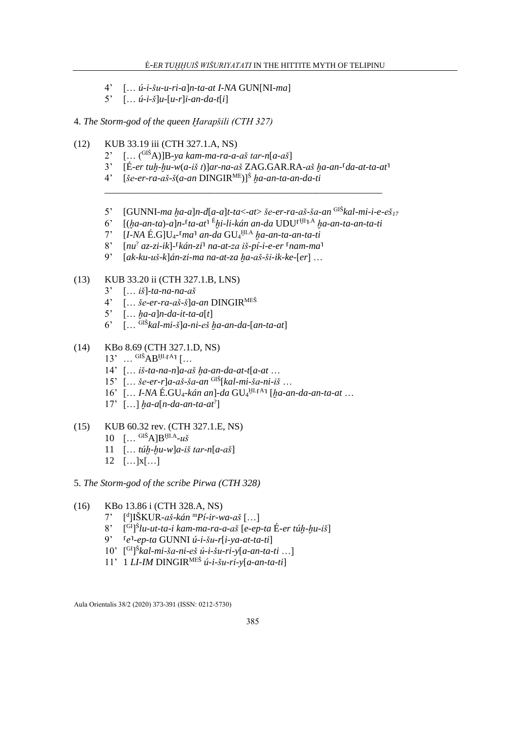- 4' [… *ú-i-šu-u-ri-a*]*n-ta-at I-NA* GUN[NI*-ma*]
- 5' [… *ú-i-š*]*u-*[*u-r*]*i-an-da-t*[*i*]

4. *The Storm-god of the queen Ḫarapšili (CTH 327)*

- (12) KUB 33.19 iii (CTH 327.1.A, NS)
	- 2' [… (GIŠA)]B*-ya kam-ma-ra-a-aš tar-n*[*a-aš*]
	- 3' [É*-er tuḫ-ḫu-w*(*a-iš t*)]*ar-na-aš* ZAG.GAR.RA*-aš ḫa-an-*⸢*da-at-ta-at*⸣
	- 4' [*še-er-ra-aš-š*(*a-an* DINGIRME)]<sup>Š</sup> *ḫa-an-ta-an-da-ti*
	- 5' [GUNNI*-ma ḫa-a*]*n-d*[*a-a*]*t-ta*<*-at*> *še-er-ra-aš-ša-an* GIŠ*kal-mi-i-e-eš<sup>17</sup>*
	- 6' [(*ḫa-an-ta*)*-a*]*n-*⸢*ta-at*⸣ <sup>É</sup>*ḫi-li-kán an-da* UDU⸢ ḪI ⸣ .A *ḫa-an-ta-an-ta-ti*

\_\_\_\_\_\_\_\_\_\_\_\_\_\_\_\_\_\_\_\_\_\_\_\_\_\_\_\_\_\_\_\_\_\_\_\_\_\_\_\_\_\_\_\_\_\_\_\_\_\_\_\_\_\_\_\_\_\_

- 7' [*I-NA* É.G]U4*-*⸢*ma*⸣ *an-da* GU<sup>4</sup> ḪI.A *ḫa-an-ta-an-ta-ti*
- 8' [*nu*? *az-zi-ik*]-⸢*kán-zi*⸣ *na-at-za iš-pí-i-e-er* ⸢*nam-ma*⸣
- 9' [*ak-ku-uš-k*]*án-zi-ma na-at-za ḫa-aš-ši-ik-ke-*[*er*] …

# (13) KUB 33.20 ii (CTH 327.1.B, LNS)

- 3' [… *iš*]*-ta-na-na-aš*
- 4' [… *še-er-ra-aš-š*]*a-an* DINGIRMEŠ
- 5' [… *ḫa-a*]*n-da-it-ta-a*[*t*]
- 6' [… GIŠ*kal-mi-š*]*a-ni-eš ḫa-an-da-*[*an-ta-at*]
- (14) KBo 8.69 (CTH 327.1.D, NS)
	- $13'$  ...  $\text{GIS}$  AB<sup>HL[A]</sup> [...
	- 14' [… *iš-ta-na-n*]*a-aš ḫa-an-da-at-t*[*a-at* …
	- 15' [… *še-er-r*]*a-aš-ša-an* GIŠ[*kal-mi-ša-ni-iš* …
	- 16' [... *I-NA* É.GU<sub>4</sub>-kán an]-da GU<sub>4</sub>U<sub>1</sub><sub>I</sub>A<sub>1</sub> [ha-an-da-an-ta-at ...
	- 17' […] *ḫa-a*[*n-da-an-ta-at*? ]
- (15) KUB 60.32 rev. (CTH 327.1.E, NS)
	- 10 [… GIŠA]BḪI.A *-uš*
	- 11 [… *túḫ-ḫu-w*]*a-iš tar-n*[*a-aš*]
	- $12$   $\left[ \dots |x| \dots \right]$
- 5. *The Storm-god of the scribe Pirwa (CTH 328)*
- (16) KBo 13.86 i (CTH 328.A, NS)
	- 7' [ d ]IŠKUR*-aš-kán* <sup>m</sup>*Pí-ir-wa-aš* […]
	- $8'$ GI] Š *lu-ut-ta-i kam-ma-ra-a-aš* [*e-ep-ta* É*-er túḫ-ḫu-iš*]
	- 9' ⸢*e*⸣*-ep-ta* GUNNI *ú-i-šu-r*[*i-ya-at-ta-ti*]
	- 10' [ GI] Š *kal-mi-ša-ni-eš ú-i-šu-ri-y*[*a-an-ta-ti* …]
	- 11' 1 *LI-IM* DINGIRMEŠ *ú-i-šu-ri-y*[*a-an-ta-ti*]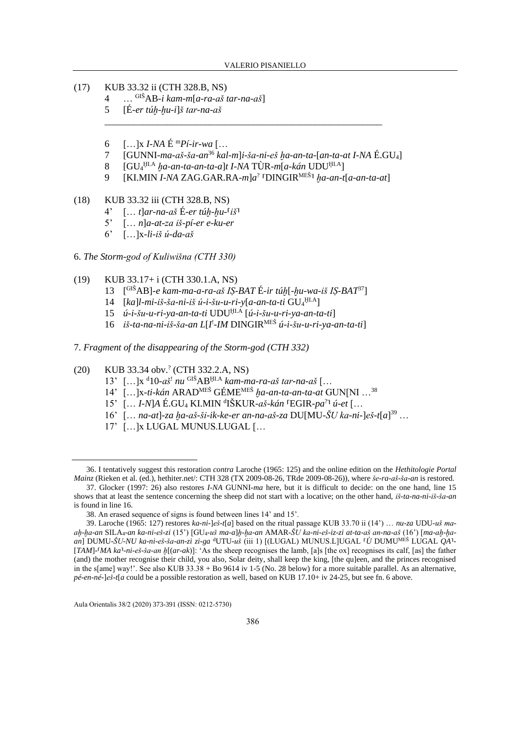- (17) KUB 33.32 ii (CTH 328.B, NS)
	- 4 … GIŠAB*-i kam-m*[*a-ra-aš tar-na-aš*]
	- 5 [É*-er túḫ-ḫu-i*]*š tar-na-aš*
	- 6 […]x *I-NA* É <sup>m</sup>*Pí-ir-wa* […
	- 7 [GUNNI*-ma-aš-ša-an*<sup>36</sup> *kal-m*]*i-ša-ni-eš ḫa-an-ta-*[*an-ta-at I-NA* É.GU4]
	- 8 [GU<sup>4</sup> ḪI.A *ḫa-an-ta-an-ta-a*]*t I-NA* TÙR*-m*[*a-kán* UDUḪI.A]
	- 9 [KI.MIN *I-NA* ZAG.GAR.RA*-m*]*a* ? ⸢DINGIRMEŠ⸣ *ḫa-an-t*[*a-an-ta-at*]

\_\_\_\_\_\_\_\_\_\_\_\_\_\_\_\_\_\_\_\_\_\_\_\_\_\_\_\_\_\_\_\_\_\_\_\_\_\_\_\_\_\_\_\_\_\_\_\_\_\_\_\_\_\_\_\_\_\_

- (18) KUB 33.32 iii (CTH 328.B, NS)
	- 4' [… *t*]*ar-na-aš* É*-er túḫ-ḫu-*⸢*iš*⸣
	- 5' [… *n*]*a-at-za iš-pí-er e-ku-er*
	- 6' […]x*-li-iš ú-da-aš*
- 6. *The Storm-god of Kuliwišna (CTH 330)*
- (19) KUB 33.17+ i (CTH 330.1.A, NS)
	- 13 [ GIŠAB]*-e kam-ma-a-ra-aš IṢ-BAT* É*-ir túḫ*[*-ḫu-wa-iš IṢ-BAT*<sup>37</sup>]
	- 14 [*ka*]*l-mi-iš-ša-ni-iš ú-i-šu-u-ri-y*[*a-an-ta-ti* GU<sup>4</sup> ḪI.A]
	- 15 *ú-i-šu-u-ri-ya-an-ta-ti* UDUḪI.A [*ú-i-šu-u-ri-ya-an-ta-ti*]
	- 16 *iš-ta-na-ni-iš-ša-an L*[*I* ! *-IM* DINGIRMEŠ *ú-i-šu-u-ri-ya-an-ta-ti*]
- 7. *Fragment of the disappearing of the Storm-god (CTH 332)*
- (20) KUB 33.34 obv.? (CTH 332.2.A, NS)
	- 13' […]x <sup>d</sup>10*-aš*! *nu* GIŠABḪI.A *kam-ma-ra-aš tar-na-aš* […
	- 14' […]x*-ti-kán* ARADMEŠ GÉMEMEŠ *ḫa-an-ta-an-ta-at* GUN[NI …<sup>38</sup>
	- 15' [… *I-N*]*A* É.GU<sup>4</sup> KI.MIN <sup>d</sup> IŠKUR*-aš-kán* ⸢EGIR*-pa*? ⸣ *ú-et* […
	- 16' [… *na-at*]*-za ḫa-aš-ši-ik-ke-er an-na-aš-za* DU[MU*-ŠU ka-ni-*]*eš-t*[*a*] <sup>39</sup> …
	- 17' […]x LUGAL MUNUS.LUGAL […

<sup>36.</sup> I tentatively suggest this restoration *contra* Laroche (1965: 125) and the online edition on the *Hethitologie Portal Mainz* (Rieken et al. (ed.), hethiter.net/: CTH 328 (TX 2009-08-26, TRde 2009-08-26)), where *še-ra-aš-ša-an* is restored.

<sup>37.</sup> Glocker (1997: 26) also restores *I-NA* GUNNI*-ma* here, but it is difficult to decide: on the one hand, line 15 shows that at least the sentence concerning the sheep did not start with a locative; on the other hand, *iš-ta-na-ni-iš-ša-an* is found in line 16.

<sup>38.</sup> An erased sequence of signs is found between lines 14' and 15'.

<sup>39.</sup> Laroche (1965: 127) restores *ka-ni-*]*eš-t*[*a*] based on the ritual passage KUB 33.70 ii (14') … *nu-za* UDU*-uš maaḫ-ḫa-an* SILA4*-an ka-ni-eš-zi* (15') [GU4*-uš ma-a*]*ḫ-ḫa-an* AMAR*-ŠU ka-ni-eš-iz-zi at-ta-aš an-na-aš* (16') [*ma-aḫ-ḫaan*] DUMU*-ŠU-NU ka-ni-eš-ša-an-zi zi-ga* <sup>d</sup>UTU*-uš* (iii 1) [(LUGAL) MUNUS.L]UGAL ⸢*Ù* DUMUMEŠ LUGAL *QA*⸣*-*  $[TAM]$ <sup>- $[MA\ ka$ <sup>1</sup>-ni-eš-ša-an  $h[(ar-ak)]$ : 'As the sheep recognises the lamb, [a]s [the ox] recognises its calf, [as] the father</sup> (and) the mother recognise their child, you also, Solar deity, shall keep the king, [the qu]een, and the princes recognised in the s[ame] way!'. See also KUB 33.38 + Bo 9614 iv 1-5 (No. 28 below) for a more suitable parallel. As an alternative, *pé-en-né-*]*eš-t*[*a* could be a possible restoration as well, based on KUB 17.10+ iv 24-25, but see fn. 6 above.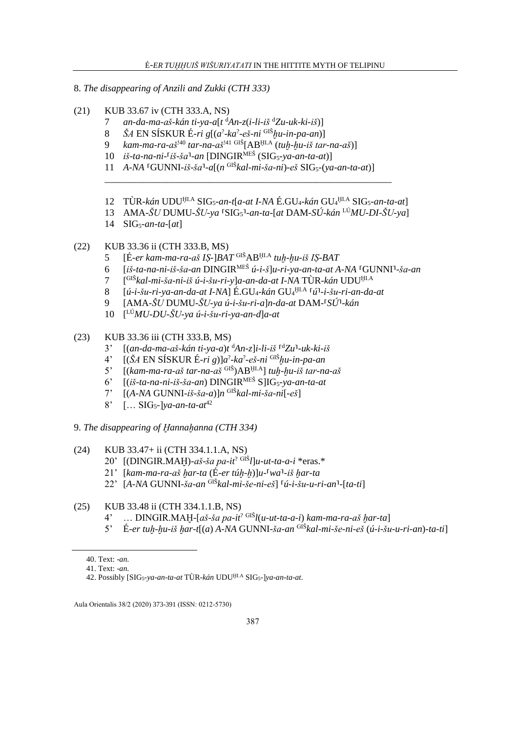- 8. The disappearing of Anzili and Zukki (CTH 333)
- $(21)$ KUB 33.67 iv (CTH 333.A, NS)
	- an-da-ma-aš-kán ti-ya-a[t  ${}^d$ An-z(i-li-iš  ${}^dZ$ u-uk-ki-iš)]  $7<sup>7</sup>$
	- $\check{S}A$  EN SÍSKUR É-ri g[(a<sup>2</sup>-ka<sup>2</sup>-eš-ni <sup>GIŠ</sup>hu-in-pa-an)] 8
	- kam-ma-ra-aš<sup>140</sup> tar-na-aš<sup>141 GIŠ</sup>[AB<sup>HLA</sup> (tuh-hu-iš tar-na-aš)]  $\mathbf{Q}$
	- 10 iš-ta-na-ni-<sup>[</sup>iš-ša<sup>1</sup>-an [DINGIR<sup>MEŠ</sup> (SIG<sub>5</sub>-ya-an-ta-at)]
	- 11 A-NA <sup>[</sup>GUNNI-iš-ša<sup>1</sup>-a[(n<sup>GIŠ</sup>kal-mi-ša-ni)-eš SIG<sub>5</sub>-(ya-an-ta-at)]
	- 12 TÙR-kán UDU<sup>HLA</sup> SIG<sub>5</sub>-an-t[a-at I-NA É.GU<sub>4</sub>-kán GU<sub>4</sub>HLA SIG<sub>5</sub>-an-ta-at]
	- 13 AMA- $\check{S}U$  DUMU- $\check{S}U$ -ya [SIG<sub>5</sub>]-an-ta-[at DAM-SÚ-kán <sup>LÚ</sup>MU-DI- $\check{S}U$ -ya]
	- 14  $SIG_5\text{-}an\text{-}ta\text{-}[at]$
- $(22)$ KUB 33.36 ii (CTH 333.B, MS)
	- [É-er kam-ma-ra-aš IS-]BAT GIŠABHLA tuh-hu-iš IS-BAT  $\mathcal{5}$
	- [iš-ta-na-ni-iš-ša-an DINGIR<sup>MEŠ</sup> ú-i-š]u-ri-ya-an-ta-at A-NA <sup>[</sup>GUNNI<sup>]</sup>-ša-an 6
	- $\overline{7}$ [<sup>GIŠ</sup>kal-mi-ša-ni-iš ú-i-šu-ri-y]a-an-da-at I-NA TÙR-kán UDU<sup>HLA</sup>
	- $\left[\hat{u} i \tilde{S}u ri va an da at I N\right] \triangle GU_4 k\hat{a}n \frac{GU_4}{H.A} \left[\hat{u} i \tilde{S}u ri an da at I\right]$ 8
	- $\mathbf{Q}$  $[AMA-ŠU DUMU-ŠU-va u-i-šu-ri- a]n-da-at DAM-ISU-kán]$
	- 10  $\int^{L} M U DU \dot{S} U \gamma a \hat{u} \dot{\gamma} u r \hat{i} \gamma a a n d \hat{a} at$
- $(23)$ KUB 33.36 iii (CTH 333.B, MS)
	- $[(an-da-ma-aš-kán ti-va-a)t dAn-z]i-li-iš$ <sup>d</sup> $Zu^1-uk-ki-iš$  $3^{\circ}$
	- $4^{\circ}$
	- $[(kam-ma-ra-aš tar-na-aš$ <sup>GIŠ</sup> $AB$ <sup>HI.A</sup>] tuh-hu-iš tar-na-aš  $5<sup>2</sup>$
	- $[(i\check{s}$ -ta-na-ni-i $\check{s}$ - $\check{s}$ a-an) DINGIR<sup>MEŠ</sup> S|IG<sub>5</sub>-ya-an-ta-at  $6^\circ$
	- $[(A-NA GUNNI-iš-ša-a)]n$ <sup>GIŠ</sup>kal-mi-ša-ni[-eš]  $7^{\circ}$
	- $8'$  [... SIG<sub>5</sub>-]*ya-an-ta-at*<sup>42</sup>
- 9. The disappearing of Hannahanna (CTH 334)
- $(24)$ KUB 33.47+ ii (CTH 334.1.1.A, NS)
	- 20' [(DINGIR.MAH)-aš-ša pa-it<sup>? GIŠ</sup>I]u-ut-ta-a-i \*eras.\*
	- 21' [kam-ma-ra-aš har-ta  $(\hat{E}$ -er túh-h]]u- $w$ a<sup>1</sup>-iš har-ta
	- 22' [A-NA GUNNI-ša-an GlŠkal-mi-še-ni-eš] [ú-i-šu-u-ri-an]-[ta-ti]
- KUB 33.48 ii (CTH 334.1.1.B, NS)  $(25)$ 
	- 4' ... DINGIR.MAH-[aš-ša pa-it<sup>? GIŠ</sup>l(u-ut-ta-a-i) kam-ma-ra-aš har-ta]
	- 5' É-er tuh-hu-iš har-t[(a) A-NA GUNNI-ša-an GlŠkal-mi-še-ni-eš (ú-i-šu-u-ri-an)-ta-ti]

<sup>40.</sup> Text: -an.

<sup>41</sup> Text:  $-an$ 

<sup>42.</sup> Possibly [SIG<sub>5</sub>-ya-an-ta-at TÙR-kán UDU<sup>HLA</sup> SIG<sub>5</sub>-]ya-an-ta-at.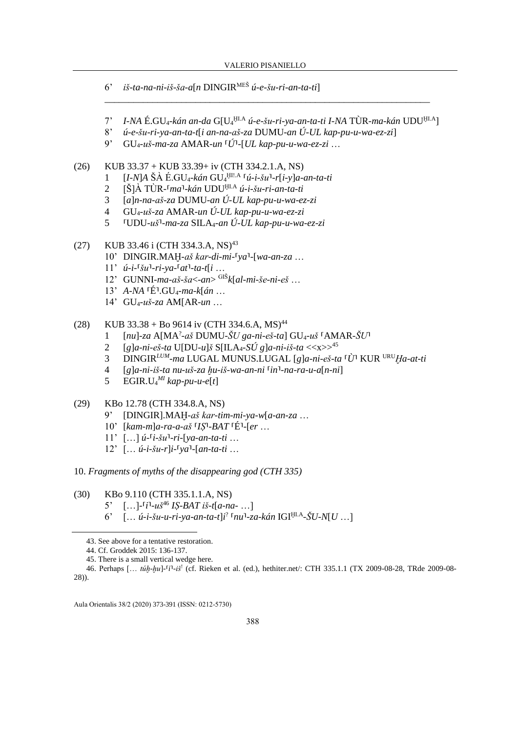- 6' iš-ta-na-ni-iš-ša-a[n DINGIR<sup>MEŠ</sup> ú-e-šu-ri-an-ta-ti]
- 7' I-NA É.GU<sub>4</sub>-kán an-da G[U<sub>4</sub>HLA ú-e-šu-ri-ya-an-ta-ti I-NA TÙR-ma-kán UDU<sup>HLA</sup>]
- $u$ -e-šu-ri-ya-an-ta-t[i an-na-aš-za DUMU-an Ú-UL kap-pu-u-wa-ez-zi]  $8'$
- $9'$  $GU_4$ -uš-ma-za AMAR-un  $\tilde{U}$ -[UL kap-pu-u-wa-ez-zi ...
- $(26)$ KUB 33.37 + KUB 33.39+ iv (CTH 334.2.1.A, NS)
	- $[I-MA \check{S} \check{A} \check{E} \check{S} U_4 k \check{a} n \check{G} U_4^{\text{H1.A}} \check{K} \check{a} i \check{S} u^1 r[i v]a an ta ti]$  $\mathbf{1}$
	- $[\text{Š}]$ À TÙR- $\lceil ma \rceil$ -kán UDU $\mu$ <sup>III.A</sup> ú-i-šu-ri-an-ta-ti  $\overline{2}$
	- $[a]n$ -na-aš-za DUMU-an Ú-UL kap-pu-u-wa-ez-zi  $3<sup>7</sup>$
	- $GU_{4}u\check{s}$ -za AMAR-un Ú-UL kap-pu-u-wa-ez-zi  $\overline{4}$
	- $5<sup>1</sup>$  $\text{UDU-}u\check{\mathbf{s}}$ <sup>1</sup>-ma-za SILA<sub>4</sub>-an Ú-UL kap-pu-u-wa-ez-zi
- KUB 33.46 i (CTH 334.3.A, NS)<sup>43</sup>  $(27)$ 
	- 10' DINGIR.MAH-aš kar-di-mi-<sup>[ya]</sup>-[wa-an-za ...
	- $11'$   $\acute{u}$ -i- $\acute{v}u$ <sup>1</sup>-ri-ya- $\acute{v}at$ <sup>1</sup>-ta-t[i ...
	- 12' GUNNI-ma-aš-ša $\lt$ -an $>$ <sup>GIŠ</sup>k[al-mi-še-ni-eš...
	- 13' A-NA  $E^1.GU_4$ -ma-k[án ...
	- 14' GU<sub>4</sub>-uš-za AM[AR-un ...
- KUB 33.38 + Bo 9614 iv (CTH 334.6.A, MS)<sup>44</sup>  $(28)$ 
	- $\lceil nu \rceil$ -za A $\lceil MA^2$ -aš DUMU-ŠU ga-ni-eš-ta] GU<sub>4</sub>-uš  $\lceil AMAR \sceil$  $\mathbf{1}$
	- $[g]$ a-ni-eš-ta U[DU-u]š S[ILA<sub>4</sub>-SÚ g]a-ni-iš-ta <<x>>  $\geq$ <sup>45</sup>  $\overline{2}$
	- DINGIR<sup>LUM</sup>-ma LUGAL MUNUS.LUGAL [g]a-ni-eš-ta <sup>[t]</sup> KUR <sup>URU</sup>Ha-at-ti  $\mathcal{F}$
	- $[g]$ a-ni-iš-ta nu-uš-za hu-iš-wa-an-ni  $\lceil in \rceil$ -na-ra-u-a $\lceil n \rceil$  $\overline{4}$
	- $5<sup>5</sup>$ EGIR.U<sub>4</sub><sup>MI</sup> kap-pu-u-e[t]
- $(29)$ KBo 12.78 (CTH 334.8.A, NS)
	- [DINGIR].MAH-aš kar-tim-mi-ya-w[a-an-za ...  $9'$
	- 10'  $[kam-m]a-ra-a-a\check{s}$ <sup>[</sup> $IS^1-BAT$ <sup>[ $\check{E}^1$ -[er ...]</sup>
	- $11'$  [...]  $\acute{u}$ -<sup>[</sup>i-šu<sup>1</sup>-ri-[ya-an-ta-ti ...]
	- $12'$  [...  $\acute{u}$ -i- $\check{S}u$ -r]i- $\lceil vq \rceil$ -[an-ta-ti ...
- 10. Fragments of myths of the disappearing god  $(CH 335)$
- KBo 9.110 (CTH 335.1.1.A, NS)  $(30)$ 
	- 5' [...]- $[i^1-u\zeta^{46}]$  IS-BAT is  $\zeta$ -t[a-na-...]
	- 6' [...  $\acute{u}$ -i-šu-u-ri-ya-an-ta-t]i<sup>2</sup>  $\lceil nu \rceil$ -za-kán IGI $\frac{\text{HIA}}{1}$ -ŠU-N[U ...]

<sup>43.</sup> See above for a tentative restoration.

<sup>44.</sup> Cf. Groddek 2015: 136-137.

<sup>45.</sup> There is a small vertical wedge here.

<sup>46.</sup> Perhaps [... túh-hu]-<sup>[</sup>i]-iš<sup>1</sup> (cf. Rieken et al. (ed.), hethiter.net/: CTH 335.1.1 (TX 2009-08-28, TRde 2009-08- $(28)$ ).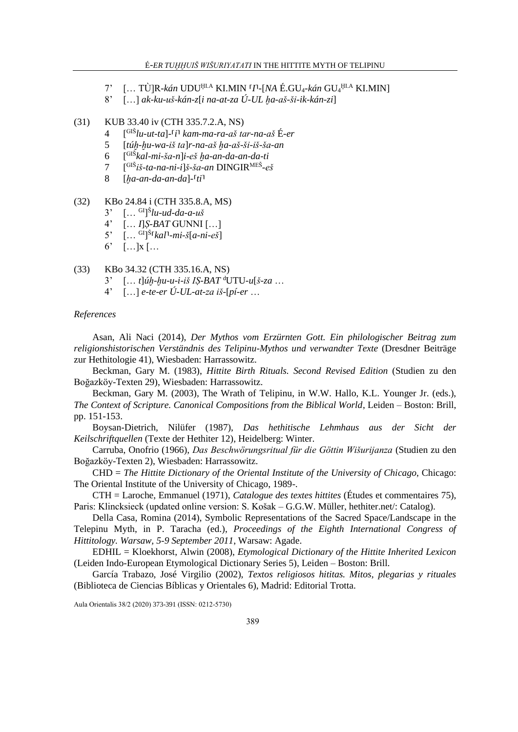- 7' [… TÙ]R*-kán* UDUḪI.A KI.MIN ⸢*I*⸣*-*[*NA* É.GU4*-kán* GU<sup>4</sup> ḪI.A KI.MIN]
- 8' […] *ak-ku-uš-kán-z*[*i na-at-za Ú-UL ḫa-aš-ši-ik-kán-zi*]

### (31) KUB 33.40 iv (CTH 335.7.2.A, NS)

- $\overline{4}$ GIŠ*lu-ut-ta*]*-*⸢*i*⸣ *kam-ma-ra-aš tar-na-aš* É*-er*
- 5 [*túḫ-ḫu-wa-iš ta*]*r-na-aš ḫa-aš-ši-iš-ša-an*
- 6 [ GIŠ*kal-mi-ša-n*]*i-eš ḫa-an-da-an-da-ti*
- $\tau$ GIŠ*iš-ta-na-ni-i*]*š-ša-an* DINGIRMEŠ *-eš*
- 8 [*ḫa-an-da-an-da*]*-*⸢*ti*⸣
- (32) KBo 24.84 i (CTH 335.8.A, MS)
	- 3' [… GI] Š *lu-ud-da-a-uš*
	- 4' [… *I*]*Ṣ-BAT* GUNNI […]
	- 5' [… GI] Š ⸢*kal*⸣*-mi-š*[*a-ni-eš*]
	- $6'$  [...]  $x$ [...

#### (33) KBo 34.32 (CTH 335.16.A, NS)

- 3' [… *t*]*úḫ-ḫu-u-i-iš IṢ-BAT* <sup>d</sup>UTU*-u*[*š-za* …
- 4' […] *e-te-er Ú-UL-at-za iš-*[*pí-er* …

#### *References*

Asan, Ali Naci (2014), *Der Mythos vom Erzürnten Gott. Ein philologischer Beitrag zum religionshistorischen Verständnis des Telipinu-Mythos und verwandter Texte* (Dresdner Beiträge zur Hethitologie 41), Wiesbaden: Harrassowitz.

Beckman, Gary M. (1983), *Hittite Birth Rituals. Second Revised Edition* (Studien zu den Boğazköy-Texten 29), Wiesbaden: Harrassowitz.

Beckman, Gary M. (2003), The Wrath of Telipinu, in W.W. Hallo, K.L. Younger Jr. (eds.), *The Context of Scripture. Canonical Compositions from the Biblical World*, Leiden – Boston: Brill, pp. 151-153.

Boysan-Dietrich, Nilüfer (1987), *Das hethitische Lehmhaus aus der Sicht der Keilschriftquellen* (Texte der Hethiter 12), Heidelberg: Winter.

Carruba, Onofrio (1966), *Das Beschwörungsritual für die Göttin Wišurijanza* (Studien zu den Boğazköy-Texten 2), Wiesbaden: Harrassowitz.

CHD = *The Hittite Dictionary of the Oriental Institute of the University of Chicago*, Chicago: The Oriental Institute of the University of Chicago, 1989-.

CTH = Laroche, Emmanuel (1971), *Catalogue des textes hittites* (Études et commentaires 75), Paris: Klincksieck (updated online version: S. Košak – G.G.W. Müller, hethiter.net/: Catalog).

Della Casa, Romina (2014), Symbolic Representations of the Sacred Space/Landscape in the Telepinu Myth, in P. Taracha (ed.), *Proceedings of the Eighth International Congress of Hittitology. Warsaw, 5-9 September 2011*, Warsaw: Agade.

EDHIL = Kloekhorst, Alwin (2008), *Etymological Dictionary of the Hittite Inherited Lexicon* (Leiden Indo-European Etymological Dictionary Series 5), Leiden – Boston: Brill.

García Trabazo, José Virgilio (2002), *Textos religiosos hititas. Mitos, plegarias y rituales* (Biblioteca de Ciencias Bíblicas y Orientales 6), Madrid: Editorial Trotta.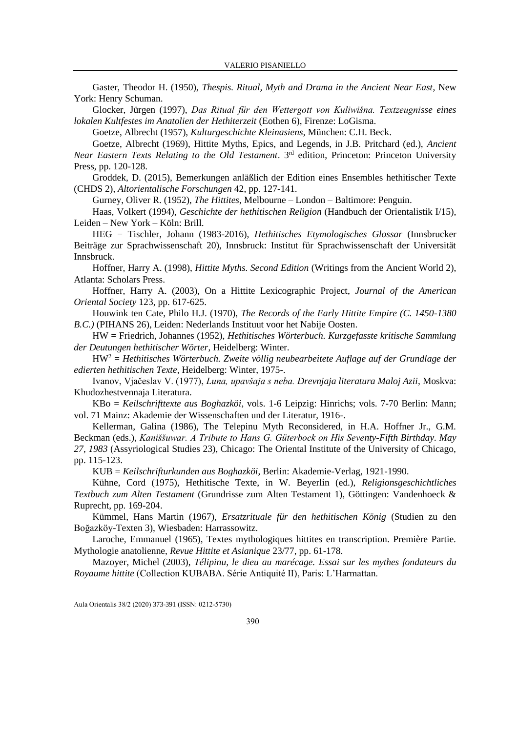Gaster, Theodor H. (1950), *Thespis. Ritual, Myth and Drama in the Ancient Near East*, New York: Henry Schuman.

Glocker, Jürgen (1997), *Das Ritual für den Wettergott von Kuliwišna. Textzeugnisse eines lokalen Kultfestes im Anatolien der Hethiterzeit* (Eothen 6), Firenze: LoGisma.

Goetze, Albrecht (1957), *Kulturgeschichte Kleinasiens*, München: C.H. Beck.

Goetze, Albrecht (1969), Hittite Myths, Epics, and Legends, in J.B. Pritchard (ed.), *Ancient* Near Eastern Texts Relating to the Old Testament. 3<sup>rd</sup> edition, Princeton: Princeton University Press, pp. 120-128.

Groddek, D. (2015), Bemerkungen anläßlich der Edition eines Ensembles hethitischer Texte (CHDS 2), *Altorientalische Forschungen* 42, pp. 127-141.

Gurney, Oliver R. (1952), *The Hittites*, Melbourne – London – Baltimore: Penguin.

Haas, Volkert (1994), *Geschichte der hethitischen Religion* (Handbuch der Orientalistik I/15), Leiden – New York – Köln: Brill.

HEG = Tischler, Johann (1983-2016), *Hethitisches Etymologisches Glossar* (Innsbrucker Beiträge zur Sprachwissenschaft 20), Innsbruck: Institut für Sprachwissenschaft der Universität Innsbruck.

Hoffner, Harry A. (1998), *Hittite Myths. Second Edition* (Writings from the Ancient World 2), Atlanta: Scholars Press.

Hoffner, Harry A. (2003), On a Hittite Lexicographic Project, *Journal of the American Oriental Society* 123, pp. 617-625.

Houwink ten Cate, Philo H.J. (1970), *The Records of the Early Hittite Empire (C. 1450-1380 B.C.)* (PIHANS 26), Leiden: Nederlands Instituut voor het Nabije Oosten.

HW = Friedrich, Johannes (1952), *Hethitisches Wörterbuch. Kurzgefasste kritische Sammlung der Deutungen hethitischer Wörter*, Heidelberg: Winter.

HW<sup>2</sup> = *Hethitisches Wörterbuch. Zweite völlig neubearbeitete Auflage auf der Grundlage der edierten hethitischen Texte*, Heidelberg: Winter, 1975-.

Ivanov, Vjačeslav V. (1977), *Luna, upavšaja s neba. Drevnjaja literatura Maloj Azii*, Moskva: Khudozhestvennaja Literatura.

KBo = *Keilschrifttexte aus Boghazköi*, vols. 1-6 Leipzig: Hinrichs; vols. 7-70 Berlin: Mann; vol. 71 Mainz: Akademie der Wissenschaften und der Literatur, 1916-.

Kellerman, Galina (1986), The Telepinu Myth Reconsidered, in H.A. Hoffner Jr., G.M. Beckman (eds.), *Kaniššuwar. A Tribute to Hans G. Güterbock on His Seventy-Fifth Birthday. May 27, 1983* (Assyriological Studies 23), Chicago: The Oriental Institute of the University of Chicago, pp. 115-123.

KUB = *Keilschrifturkunden aus Boghazköi*, Berlin: Akademie-Verlag, 1921-1990.

Kühne, Cord (1975), Hethitische Texte, in W. Beyerlin (ed.), *Religionsgeschichtliches Textbuch zum Alten Testament* (Grundrisse zum Alten Testament 1), Göttingen: Vandenhoeck & Ruprecht, pp. 169-204.

Kümmel, Hans Martin (1967), *Ersatzrituale für den hethitischen König* (Studien zu den Boğazköy-Texten 3), Wiesbaden: Harrassowitz.

Laroche, Emmanuel (1965), Textes mythologiques hittites en transcription. Première Partie. Mythologie anatolienne, *Revue Hittite et Asianique* 23/77, pp. 61-178.

Mazoyer, Michel (2003), *Télipinu, le dieu au marécage. Essai sur les mythes fondateurs du Royaume hittite* (Collection KUBABA. Série Antiquité II), Paris: L'Harmattan.